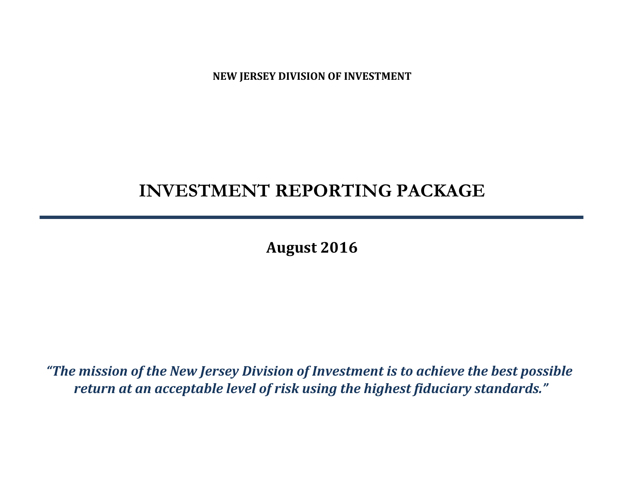**NEW JERSEY DIVISION OF INVESTMENT**

# **INVESTMENT REPORTING PACKAGE**

**August 2016**

*"The mission of the New Jersey Division of Investment is to achieve the best possible return at an acceptable level of risk using the highest fiduciary standards."*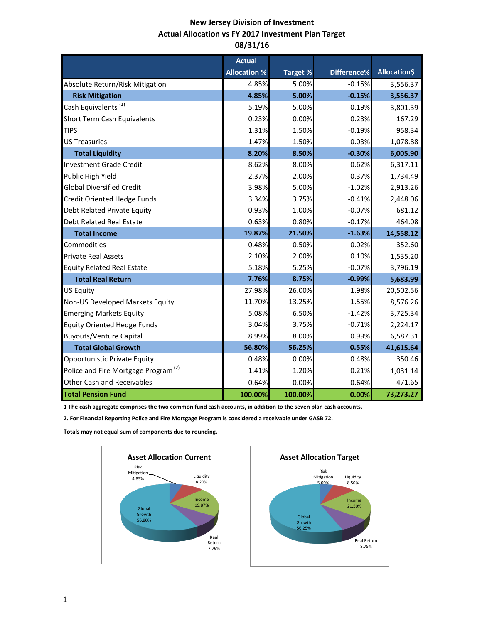## **New Jersey Division of Investment Actual Allocation vs FY 2017 Investment Plan Target 08/31/16**

|                                                 | <b>Actual</b>       |          |             |                     |
|-------------------------------------------------|---------------------|----------|-------------|---------------------|
|                                                 | <b>Allocation %</b> | Target % | Difference% | <b>Allocation\$</b> |
| Absolute Return/Risk Mitigation                 | 4.85%               | 5.00%    | $-0.15%$    | 3,556.37            |
| <b>Risk Mitigation</b>                          | 4.85%               | 5.00%    | $-0.15%$    | 3,556.37            |
| Cash Equivalents <sup>(1)</sup>                 | 5.19%               | 5.00%    | 0.19%       | 3,801.39            |
| <b>Short Term Cash Equivalents</b>              | 0.23%               | 0.00%    | 0.23%       | 167.29              |
| <b>TIPS</b>                                     | 1.31%               | 1.50%    | $-0.19%$    | 958.34              |
| <b>US Treasuries</b>                            | 1.47%               | 1.50%    | $-0.03%$    | 1,078.88            |
| <b>Total Liquidity</b>                          | 8.20%               | 8.50%    | $-0.30%$    | 6,005.90            |
| <b>Investment Grade Credit</b>                  | 8.62%               | 8.00%    | 0.62%       | 6,317.11            |
| Public High Yield                               | 2.37%               | 2.00%    | 0.37%       | 1,734.49            |
| <b>Global Diversified Credit</b>                | 3.98%               | 5.00%    | $-1.02%$    | 2,913.26            |
| <b>Credit Oriented Hedge Funds</b>              | 3.34%               | 3.75%    | $-0.41%$    | 2,448.06            |
| Debt Related Private Equity                     | 0.93%               | 1.00%    | $-0.07%$    | 681.12              |
| <b>Debt Related Real Estate</b>                 | 0.63%               | 0.80%    | $-0.17%$    | 464.08              |
| <b>Total Income</b>                             | 19.87%              | 21.50%   | $-1.63%$    | 14,558.12           |
| Commodities                                     | 0.48%               | 0.50%    | $-0.02%$    | 352.60              |
| <b>Private Real Assets</b>                      | 2.10%               | 2.00%    | 0.10%       | 1,535.20            |
| <b>Equity Related Real Estate</b>               | 5.18%               | 5.25%    | $-0.07%$    | 3,796.19            |
| <b>Total Real Return</b>                        | 7.76%               | 8.75%    | $-0.99%$    | 5,683.99            |
| <b>US Equity</b>                                | 27.98%              | 26.00%   | 1.98%       | 20,502.56           |
| Non-US Developed Markets Equity                 | 11.70%              | 13.25%   | $-1.55%$    | 8,576.26            |
| <b>Emerging Markets Equity</b>                  | 5.08%               | 6.50%    | $-1.42%$    | 3,725.34            |
| <b>Equity Oriented Hedge Funds</b>              | 3.04%               | 3.75%    | $-0.71%$    | 2,224.17            |
| <b>Buyouts/Venture Capital</b>                  | 8.99%               | 8.00%    | 0.99%       | 6,587.31            |
| <b>Total Global Growth</b>                      | 56.80%              | 56.25%   | 0.55%       | 41,615.64           |
| Opportunistic Private Equity                    | 0.48%               | 0.00%    | 0.48%       | 350.46              |
| Police and Fire Mortgage Program <sup>(2)</sup> | 1.41%               | 1.20%    | 0.21%       | 1,031.14            |
| <b>Other Cash and Receivables</b>               | 0.64%               | 0.00%    | 0.64%       | 471.65              |
| <b>Total Pension Fund</b>                       | 100.00%             | 100.00%  | 0.00%       | 73,273.27           |

**1 The cash aggregate comprises the two common fund cash accounts, in addition to the seven plan cash accounts.** 

**2. For Financial Reporting Police and Fire Mortgage Program is considered a receivable under GASB 72.**

**Totals may not equal sum of components due to rounding.** 



Liquidity 8.50%

> Income 21.50%

> > Real Return 8.75%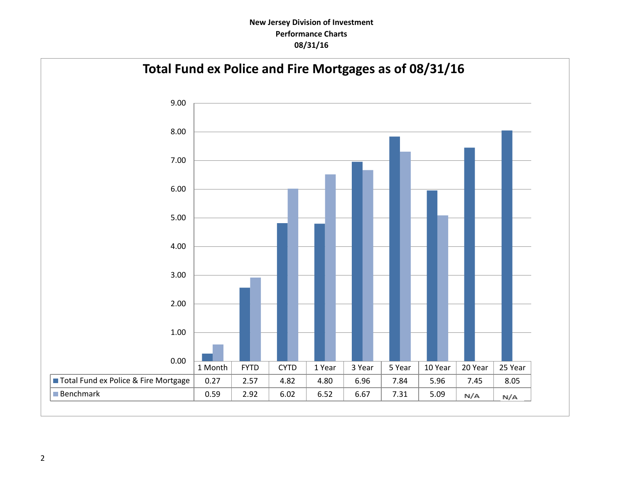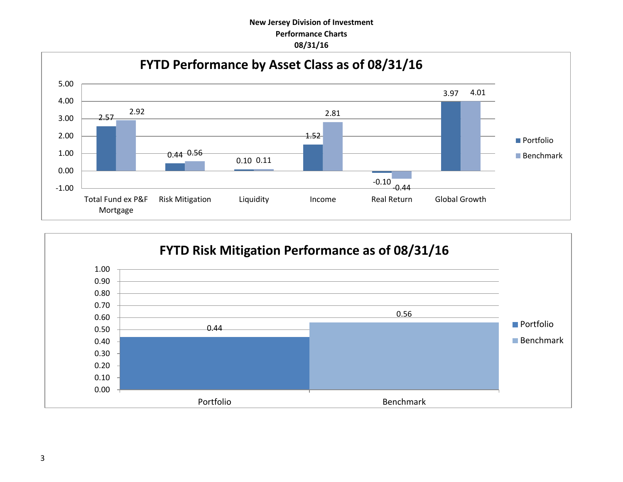

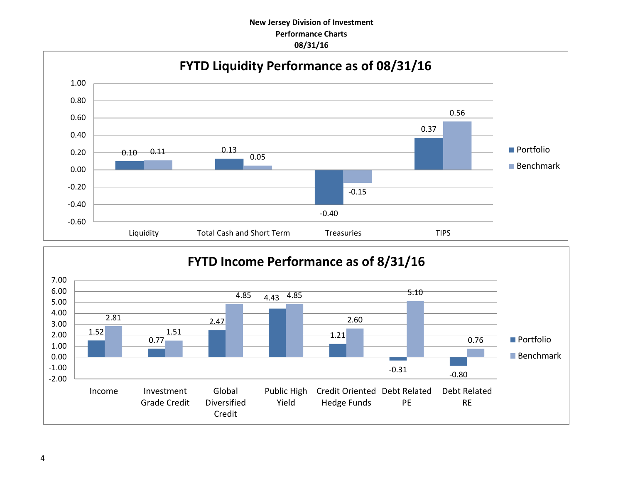

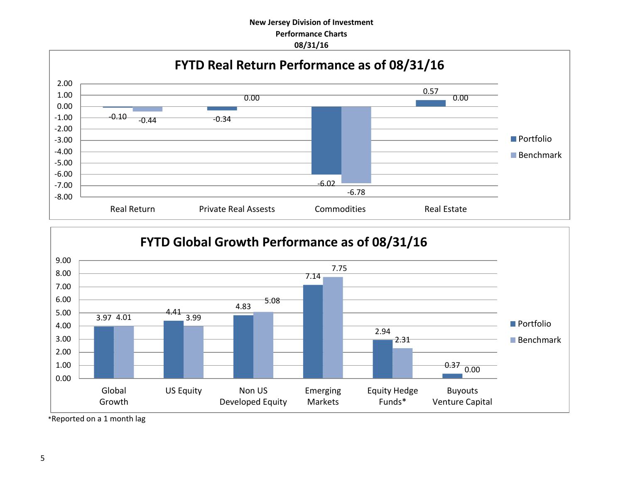



\*Reported on a 1 month lag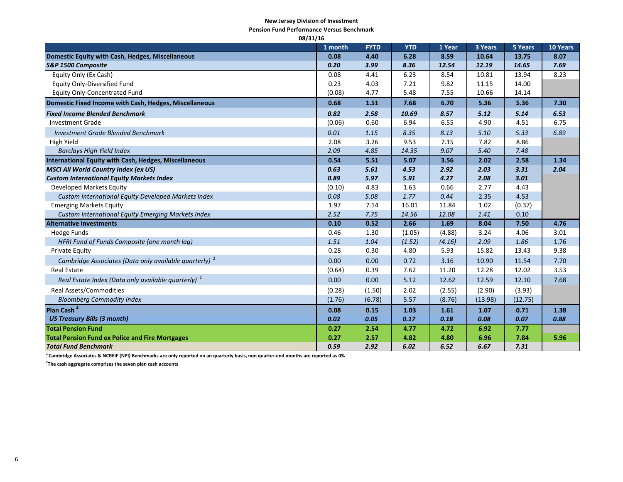#### **New Jersey Division of Investment**

**Pension Fund Performance Versus Benchmark**

| 08/31/16                                                          |         |             |            |        |         |         |          |
|-------------------------------------------------------------------|---------|-------------|------------|--------|---------|---------|----------|
|                                                                   | 1 month | <b>FYTD</b> | <b>YTD</b> | 1 Year | 3 Years | 5 Years | 10 Years |
| Domestic Equity with Cash, Hedges, Miscellaneous                  | 0.08    | 4.40        | 6.28       | 8.59   | 10.64   | 13.75   | 8.07     |
| S&P 1500 Composite                                                | 0.20    | 3.99        | 8.36       | 12.54  | 12.19   | 14.65   | 7.69     |
| Equity Only (Ex Cash)                                             | 0.08    | 4.41        | 6.23       | 8.54   | 10.81   | 13.94   | 8.23     |
| <b>Equity Only-Diversified Fund</b>                               | 0.23    | 4.03        | 7.21       | 9.82   | 11.15   | 14.00   |          |
| <b>Equity Only-Concentrated Fund</b>                              | (0.08)  | 4.77        | 5.48       | 7.55   | 10.66   | 14.14   |          |
| Domestic Fixed Income with Cash, Hedges, Miscellaneous            | 0.68    | 1.51        | 7.68       | 6.70   | 5.36    | 5.36    | 7.30     |
| <b>Fixed Income Blended Benchmark</b>                             | 0.82    | 2.58        | 10.69      | 8.57   | 5.12    | 5.14    | 6.53     |
| <b>Investment Grade</b>                                           | (0.06)  | 0.60        | 6.94       | 6.55   | 4.90    | 4.51    | 6.75     |
| <b>Investment Grade Blended Benchmark</b>                         | 0.01    | 1.15        | 8.35       | 8.13   | 5.10    | 5.33    | 6.89     |
| High Yield                                                        | 2.08    | 3.26        | 9.53       | 7.15   | 7.82    | 8.86    |          |
| <b>Barclays High Yield Index</b>                                  | 2.09    | 4.85        | 14.35      | 9.07   | 5.40    | 7.48    |          |
| International Equity with Cash, Hedges, Miscellaneous             | 0.54    | 5.51        | 5.07       | 3.56   | 2.02    | 2.58    | 1.34     |
| <b>MSCI All World Country Index (ex US)</b>                       | 0.63    | 5.61        | 4.53       | 2.92   | 2.03    | 3.31    | 2.04     |
| <b>Custom International Equity Markets Index</b>                  | 0.89    | 5.97        | 5.91       | 4.27   | 2.08    | 3.01    |          |
| Developed Markets Equity                                          | (0.10)  | 4.83        | 1.63       | 0.66   | 2.77    | 4.43    |          |
| Custom International Equity Developed Markets Index               | 0.08    | 5.08        | 1.77       | 0.44   | 2.35    | 4.53    |          |
| <b>Emerging Markets Equity</b>                                    | 1.97    | 7.14        | 16.01      | 11.84  | 1.02    | (0.37)  |          |
| Custom International Equity Emerging Markets Index                | 2.52    | 7.75        | 14.56      | 12.08  | 1.41    | 0.10    |          |
| <b>Alternative Investments</b>                                    | 0.10    | 0.52        | 2.66       | 1.69   | 8.04    | 7.50    | 4.76     |
| <b>Hedge Funds</b>                                                | 0.46    | 1.30        | (1.05)     | (4.88) | 3.24    | 4.06    | 3.01     |
| HFRI Fund of Funds Composite (one month lag)                      | 1.51    | 1.04        | (1.52)     | (4.16) | 2.09    | 1.86    | 1.76     |
| Private Equity                                                    | 0.28    | 0.30        | 4.80       | 5.93   | 15.82   | 13.43   | 9.38     |
| Cambridge Associates (Data only available quarterly) <sup>1</sup> | 0.00    | 0.00        | 0.72       | 3.16   | 10.90   | 11.54   | 7.70     |
| <b>Real Estate</b>                                                | (0.64)  | 0.39        | 7.62       | 11.20  | 12.28   | 12.02   | 3.53     |
| Real Estate Index (Data only available quarterly) <sup>1</sup>    | 0.00    | 0.00        | 5.12       | 12.62  | 12.59   | 12.10   | 7.68     |
| <b>Real Assets/Commodities</b>                                    | (0.28)  | (1.50)      | 2.02       | (2.55) | (2.90)  | (3.93)  |          |
| <b>Bloomberg Commodity Index</b>                                  | (1.76)  | (6.78)      | 5.57       | (8.76) | (13.98) | (12.75) |          |
| Plan Cash <sup>2</sup>                                            | 0.08    | 0.15        | 1.03       | 1.61   | 1.07    | 0.71    | 1.38     |
| <b>US Treasury Bills (3 month)</b>                                | 0.02    | 0.05        | 0.17       | 0.18   | 0.08    | 0.07    | 0.88     |
| <b>Total Pension Fund</b>                                         | 0.27    | 2.54        | 4.77       | 4.72   | 6.92    | 7.77    |          |
| <b>Total Pension Fund ex Police and Fire Mortgages</b>            | 0.27    | 2.57        | 4.82       | 4.80   | 6.96    | 7.84    | 5.96     |
| <b>Total Fund Benchmark</b>                                       | 0.59    | 2.92        | 6.02       | 6.52   | 6.67    | 7.31    |          |

**<sup>1</sup>Cambridge Associates & NCREIF (NPI) Benchmarks are only reported on an quarterly basis, non quarter-end months are reported as 0%**

**2 The cash aggregate comprises the seven plan cash accounts**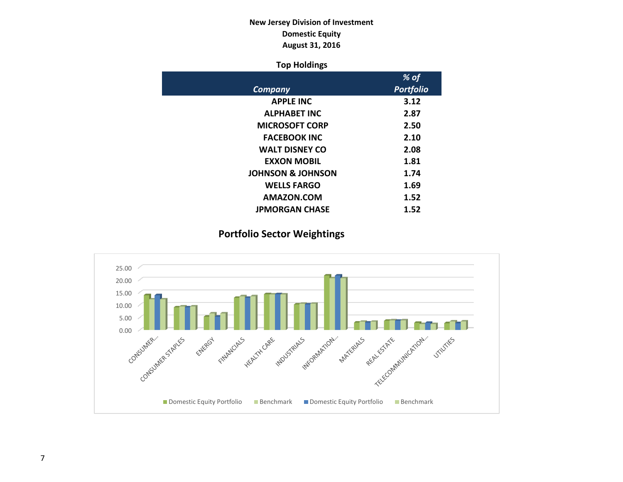## **New Jersey Division of Investment Domestic Equity August 31, 2016**

### **Top Holdings**

|                              | % of             |
|------------------------------|------------------|
| Company                      | <b>Portfolio</b> |
| <b>APPLE INC</b>             | 3.12             |
| <b>ALPHABET INC</b>          | 2.87             |
| <b>MICROSOFT CORP</b>        | 2.50             |
| <b>FACEBOOK INC</b>          | 2.10             |
| <b>WALT DISNEY CO</b>        | 2.08             |
| <b>EXXON MOBIL</b>           | 1.81             |
| <b>JOHNSON &amp; JOHNSON</b> | 1.74             |
| <b>WELLS FARGO</b>           | 1.69             |
| AMAZON.COM                   | 1.52             |
| <b>JPMORGAN CHASE</b>        | 1.52             |

## **Portfolio Sector Weightings**

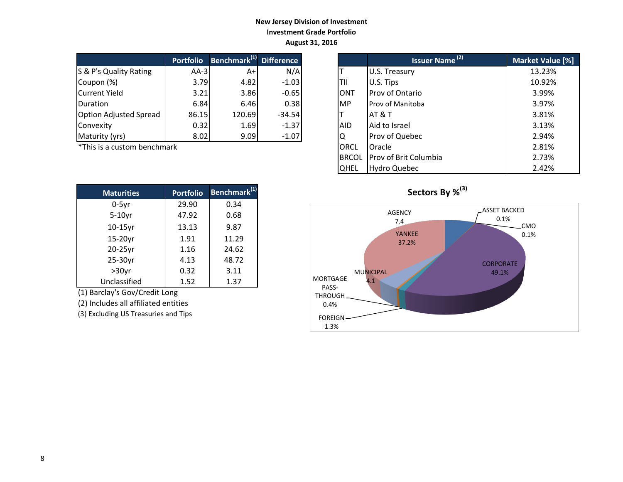### **New Jersey Division of Investment Investment Grade Portfolio August 31, 2016**

|                               | <b>Portfolio</b> | Benchmark <sup>(1)</sup> Difference |          |            | Issuer Name <sup>(2)</sup> | <b>Market Valu</b> |
|-------------------------------|------------------|-------------------------------------|----------|------------|----------------------------|--------------------|
| S & P's Quality Rating        | $AA-3I$          | A+                                  | N/A      |            | U.S. Treasury              | 13.23%             |
| Coupon (%)                    | 3.79             | 4.82                                | $-1.03$  | ITII       | U.S. Tips                  | 10.92%             |
| Current Yield                 | 3.21             | 3.86                                | $-0.65$  | <b>ONT</b> | Prov of Ontario            | 3.99%              |
| <b>IDuration</b>              | 6.84             | 6.46                                | 0.38     | IMP        | <b>Prov of Manitoba</b>    | 3.97%              |
| <b>Option Adjusted Spread</b> | 86.15            | 120.69                              | $-34.54$ |            | IAT & T                    | 3.81%              |
| Convexity                     | 0.32             | 1.69                                | $-1.37$  | <b>AID</b> | Aid to Israel              | 3.13%              |
| Maturity (yrs)                | 8.02             | 9.09                                | $-1.07$  | ΙQ         | Prov of Quebec             | 2.94%              |

 $*$ This is a custom benchmark

| <b>Maturities</b> | <b>Portfolio</b> | Benchmark <sup>(1)</sup> |
|-------------------|------------------|--------------------------|
| $0-5$ yr          | 29.90            | 0.34                     |
| $5-10$ yr         | 47.92            | 0.68                     |
| $10-15$ yr        | 13.13            | 9.87                     |
| 15-20yr           | 1.91             | 11.29                    |
| 20-25yr           | 1.16             | 24.62                    |
| 25-30yr           | 4.13             | 48.72                    |
| $>30$ yr          | 0.32             | 3.11                     |
| Unclassified      | 1.52             | 1.37                     |

(1) Barclay's Gov/Credit Long

(2) Includes all affiliated entities

(3) Excluding US Treasuries and Tips

| <b>Portfolio</b> | Benchmark <sup>(1)</sup> Difference |          |              | <b>Issuer Name<sup>(2)</sup></b> | Market Value [%] |
|------------------|-------------------------------------|----------|--------------|----------------------------------|------------------|
| $AA-3$           | A+                                  | N/A      |              | U.S. Treasury                    | 13.23%           |
| 3.79             | 4.82                                | $-1.03$  | TII          | U.S. Tips                        | 10.92%           |
| 3.21             | 3.86                                | $-0.65$  | <b>ONT</b>   | Prov of Ontario                  | 3.99%            |
| 6.84             | 6.46                                | 0.38     | <b>MP</b>    | Prov of Manitoba                 | 3.97%            |
| 86.15            | 120.69                              | $-34.54$ |              | <b>AT &amp; T</b>                | 3.81%            |
| 0.32             | 1.69                                | $-1.37$  | <b>AID</b>   | Aid to Israel                    | 3.13%            |
| 8.02             | 9.09                                | $-1.07$  | Q            | Prov of Quebec                   | 2.94%            |
| ۰k               |                                     |          | ORCL         | Oracle                           | 2.81%            |
|                  |                                     |          | <b>BRCOL</b> | Prov of Brit Columbia            | 2.73%            |
|                  |                                     |          | <b>QHEL</b>  | <b>Hydro Quebec</b>              | 2.42%            |

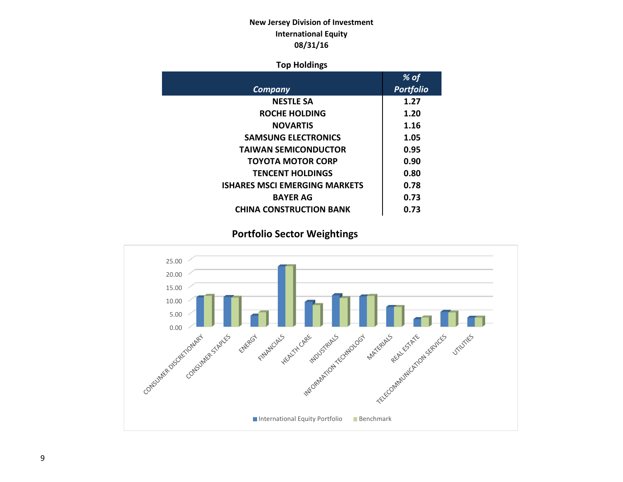## **New Jersey Division of Investment International Equity 08/31/16**

### **Top Holdings**

|                                      | % of             |
|--------------------------------------|------------------|
| Company                              | <b>Portfolio</b> |
| <b>NESTLE SA</b>                     | 1.27             |
| ROCHE HOLDING                        | 1.20             |
| <b>NOVARTIS</b>                      | 1.16             |
| <b>SAMSUNG ELECTRONICS</b>           | 1.05             |
| <b>TAIWAN SEMICONDUCTOR</b>          | 0.95             |
| <b>TOYOTA MOTOR CORP</b>             | 0.90             |
| <b>TENCENT HOLDINGS</b>              | 0.80             |
| <b>ISHARES MSCI EMERGING MARKETS</b> | 0.78             |
| <b>BAYER AG</b>                      | 0.73             |
| <b>CHINA CONSTRUCTION BANK</b>       | 0.73             |

## **Portfolio Sector Weightings**

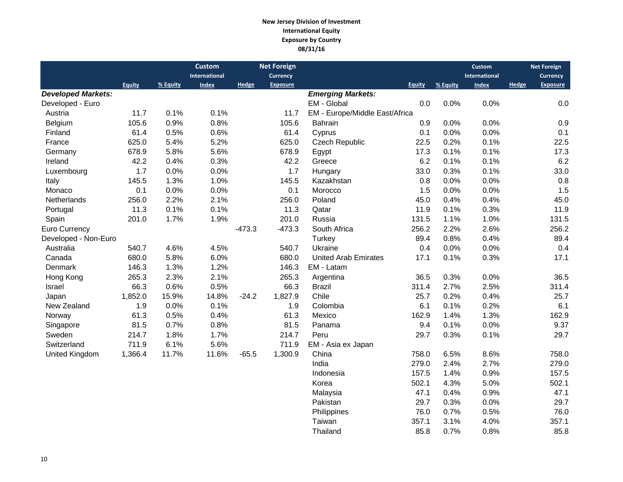#### **New Jersey Division of Investment International Equity Exposure by Country 08/31/16**

|                           |         |          | <b>Custom</b> |          | <b>Net Foreign</b> |                                |               |          | <b>Custom</b> |       | <b>Net Foreign</b> |
|---------------------------|---------|----------|---------------|----------|--------------------|--------------------------------|---------------|----------|---------------|-------|--------------------|
|                           |         |          | International |          | <b>Currency</b>    |                                |               |          | International |       | Currency           |
|                           | Equity  | % Equity | <b>Index</b>  | Hedge    | <b>Exposure</b>    |                                | <b>Equity</b> | % Equity | <b>Index</b>  | Hedge | <b>Exposure</b>    |
| <b>Developed Markets:</b> |         |          |               |          |                    | <b>Emerging Markets:</b>       |               |          |               |       |                    |
| Developed - Euro          |         |          |               |          |                    | EM - Global                    | 0.0           | 0.0%     | 0.0%          |       | 0.0                |
| Austria                   | 11.7    | 0.1%     | 0.1%          |          | 11.7               | EM - Europe/Middle East/Africa |               |          |               |       |                    |
| Belgium                   | 105.6   | 0.9%     | 0.8%          |          | 105.6              | <b>Bahrain</b>                 | 0.9           | 0.0%     | 0.0%          |       | 0.9                |
| Finland                   | 61.4    | 0.5%     | 0.6%          |          | 61.4               | Cyprus                         | 0.1           | 0.0%     | 0.0%          |       | 0.1                |
| France                    | 625.0   | 5.4%     | 5.2%          |          | 625.0              | <b>Czech Republic</b>          | 22.5          | 0.2%     | 0.1%          |       | 22.5               |
| Germany                   | 678.9   | 5.8%     | 5.6%          |          | 678.9              | Egypt                          | 17.3          | 0.1%     | 0.1%          |       | 17.3               |
| Ireland                   | 42.2    | 0.4%     | 0.3%          |          | 42.2               | Greece                         | 6.2           | 0.1%     | 0.1%          |       | 6.2                |
| Luxembourg                | 1.7     | 0.0%     | 0.0%          |          | 1.7                | Hungary                        | 33.0          | 0.3%     | 0.1%          |       | 33.0               |
| Italy                     | 145.5   | 1.3%     | 1.0%          |          | 145.5              | Kazakhstan                     | 0.8           | 0.0%     | 0.0%          |       | 0.8                |
| Monaco                    | 0.1     | 0.0%     | 0.0%          |          | 0.1                | Morocco                        | 1.5           | 0.0%     | 0.0%          |       | 1.5                |
| Netherlands               | 256.0   | 2.2%     | 2.1%          |          | 256.0              | Poland                         | 45.0          | 0.4%     | 0.4%          |       | 45.0               |
| Portugal                  | 11.3    | 0.1%     | 0.1%          |          | 11.3               | Qatar                          | 11.9          | 0.1%     | 0.3%          |       | 11.9               |
| Spain                     | 201.0   | 1.7%     | 1.9%          |          | 201.0              | Russia                         | 131.5         | 1.1%     | 1.0%          |       | 131.5              |
| Euro Currency             |         |          |               | $-473.3$ | $-473.3$           | South Africa                   | 256.2         | 2.2%     | 2.6%          |       | 256.2              |
| Developed - Non-Euro      |         |          |               |          |                    | Turkey                         | 89.4          | 0.8%     | 0.4%          |       | 89.4               |
| Australia                 | 540.7   | 4.6%     | 4.5%          |          | 540.7              | Ukraine                        | 0.4           | 0.0%     | 0.0%          |       | 0.4                |
| Canada                    | 680.0   | 5.8%     | 6.0%          |          | 680.0              | <b>United Arab Emirates</b>    | 17.1          | 0.1%     | 0.3%          |       | 17.1               |
| Denmark                   | 146.3   | 1.3%     | 1.2%          |          | 146.3              | EM - Latam                     |               |          |               |       |                    |
| Hong Kong                 | 265.3   | 2.3%     | 2.1%          |          | 265.3              | Argentina                      | 36.5          | 0.3%     | 0.0%          |       | 36.5               |
| Israel                    | 66.3    | 0.6%     | 0.5%          |          | 66.3               | <b>Brazil</b>                  | 311.4         | 2.7%     | 2.5%          |       | 311.4              |
| Japan                     | 1,852.0 | 15.9%    | 14.8%         | $-24.2$  | 1,827.9            | Chile                          | 25.7          | 0.2%     | 0.4%          |       | 25.7               |
| New Zealand               | 1.9     | 0.0%     | 0.1%          |          | 1.9                | Colombia                       | 6.1           | 0.1%     | 0.2%          |       | 6.1                |
| Norway                    | 61.3    | 0.5%     | 0.4%          |          | 61.3               | Mexico                         | 162.9         | 1.4%     | 1.3%          |       | 162.9              |
| Singapore                 | 81.5    | 0.7%     | 0.8%          |          | 81.5               | Panama                         | 9.4           | 0.1%     | 0.0%          |       | 9.37               |
| Sweden                    | 214.7   | 1.8%     | 1.7%          |          | 214.7              | Peru                           | 29.7          | 0.3%     | 0.1%          |       | 29.7               |
| Switzerland               | 711.9   | 6.1%     | 5.6%          |          | 711.9              | EM - Asia ex Japan             |               |          |               |       |                    |
| United Kingdom            | 1,366.4 | 11.7%    | 11.6%         | $-65.5$  | 1,300.9            | China                          | 758.0         | 6.5%     | 8.6%          |       | 758.0              |
|                           |         |          |               |          |                    | India                          | 279.0         | 2.4%     | 2.7%          |       | 279.0              |
|                           |         |          |               |          |                    | Indonesia                      | 157.5         | 1.4%     | 0.9%          |       | 157.5              |
|                           |         |          |               |          |                    | Korea                          | 502.1         | 4.3%     | 5.0%          |       | 502.1              |
|                           |         |          |               |          |                    | Malaysia                       | 47.1          | 0.4%     | 0.9%          |       | 47.1               |
|                           |         |          |               |          |                    | Pakistan                       | 29.7          | 0.3%     | 0.0%          |       | 29.7               |
|                           |         |          |               |          |                    | Philippines                    | 76.0          | 0.7%     | 0.5%          |       | 76.0               |

Taiwan 357.1 3.1% 4.0% 357.1<br>Thailand 35.8 0.7% 0.8% 85.8

Thailand 85.8 0.7% 0.8%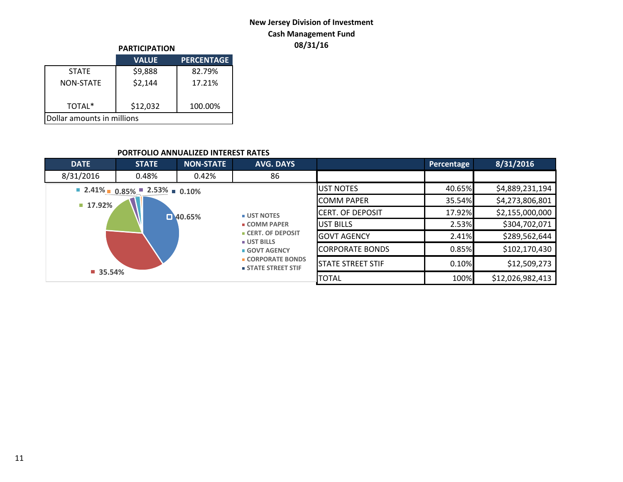## **New Jersey Division of Investment Cash Management Fund**

|                            | <b>PARTICIPATION</b> |                   |  |  |  |  |
|----------------------------|----------------------|-------------------|--|--|--|--|
|                            | <b>VALUE</b>         | <b>PERCENTAGE</b> |  |  |  |  |
| <b>STATF</b>               | \$9,888              | 82.79%            |  |  |  |  |
| <b>NON-STATE</b>           | \$2,144              | 17.21%            |  |  |  |  |
| TOTAL*                     | \$12,032             | 100.00%           |  |  |  |  |
| Dollar amounts in millions |                      |                   |  |  |  |  |

## **08/31/16 PARTICIPATION**

### **PORTFOLIO ANNUALIZED INTEREST RATES**

| <b>DATE</b>           | <b>STATE</b>                                                                        | <b>NON-STATE</b>      | <b>AVG. DAYS</b>                                                 |                          | Percentage | 8/31/2016        |
|-----------------------|-------------------------------------------------------------------------------------|-----------------------|------------------------------------------------------------------|--------------------------|------------|------------------|
| 8/31/2016             | 0.48%                                                                               | 0.42%                 | 86                                                               |                          |            |                  |
|                       | $\blacksquare$ 2.41% $\blacksquare$ 0.85% $\blacksquare$ 2.53% $\blacksquare$ 0.10% |                       |                                                                  | <b>JUST NOTES</b>        | 40.65%     | \$4,889,231,194  |
| 17.92%                |                                                                                     |                       |                                                                  | <b>COMM PAPER</b>        | 35.54%     | \$4,273,806,801  |
|                       |                                                                                     | $\blacksquare$ 40.65% | <b>UST NOTES</b>                                                 | <b>CERT. OF DEPOSIT</b>  | 17.92%     | \$2,155,000,000  |
|                       |                                                                                     |                       | <b>COMM PAPER</b><br><b>CERT. OF DEPOSIT</b><br><b>UST BILLS</b> | IUST BILLS               | 2.53%      | \$304,702,071    |
|                       |                                                                                     |                       |                                                                  | <b>IGOVT AGENCY</b>      | 2.41%      | \$289,562,644    |
|                       |                                                                                     |                       | <b>GOVT AGENCY</b>                                               | <b>CORPORATE BONDS</b>   | 0.85%      | \$102,170,430    |
|                       |                                                                                     |                       | <b>CORPORATE BONDS</b><br><b>STATE STREET STIF</b>               | <b>STATE STREET STIF</b> | 0.10%      | \$12,509,273     |
| $\blacksquare$ 35.54% |                                                                                     |                       |                                                                  | <b>TOTAL</b>             | 100%       | \$12,026,982,413 |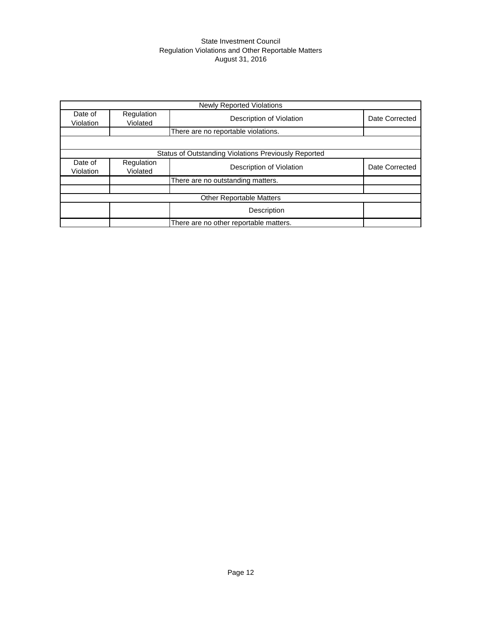#### State Investment Council Regulation Violations and Other Reportable Matters August 31, 2016

|                      |                                     | <b>Newly Reported Violations</b>                     |                |  |  |  |  |
|----------------------|-------------------------------------|------------------------------------------------------|----------------|--|--|--|--|
| Date of<br>Violation | Regulation<br>Violated              | Description of Violation                             | Date Corrected |  |  |  |  |
|                      | There are no reportable violations. |                                                      |                |  |  |  |  |
|                      |                                     |                                                      |                |  |  |  |  |
|                      |                                     | Status of Outstanding Violations Previously Reported |                |  |  |  |  |
| Date of<br>Violation | Regulation<br>Violated              | Description of Violation                             | Date Corrected |  |  |  |  |
|                      |                                     | There are no outstanding matters.                    |                |  |  |  |  |
|                      |                                     |                                                      |                |  |  |  |  |
|                      |                                     | <b>Other Reportable Matters</b>                      |                |  |  |  |  |
|                      |                                     | Description                                          |                |  |  |  |  |
|                      |                                     | There are no other reportable matters.               |                |  |  |  |  |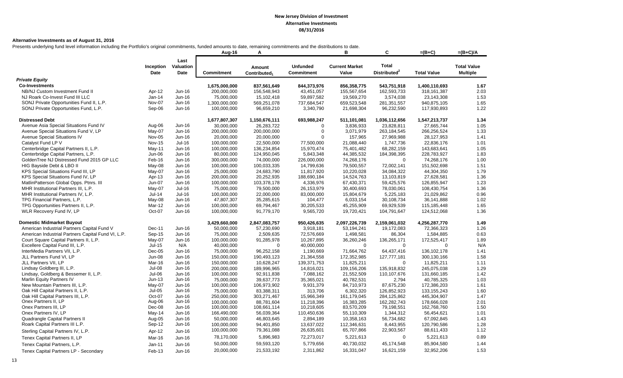#### **Alternative Investments as of August 31, 2016**

Presents underlying fund level information including the Portfolio's original commitments, funded amounts to date, remaining commitments and the distributions to date.

|                                                    |                   |                           | Aug-16        | А                                  |                                      | в                              | C                                        | $=(B+C)$           | $=(B+C)/A$                            |
|----------------------------------------------------|-------------------|---------------------------|---------------|------------------------------------|--------------------------------------|--------------------------------|------------------------------------------|--------------------|---------------------------------------|
|                                                    | Inception<br>Date | Last<br>Valuation<br>Date | Commitment    | Amount<br>Contributed <sub>1</sub> | <b>Unfunded</b><br><b>Commitment</b> | <b>Current Market</b><br>Value | <b>Total</b><br>Distributed <sup>2</sup> | <b>Total Value</b> | <b>Total Value</b><br><b>Multiple</b> |
| <b>Private Equity</b>                              |                   |                           |               |                                    |                                      |                                |                                          |                    |                                       |
| <b>Co-Investments</b>                              |                   |                           | 1,675,000,000 | 837,561,649                        | 844,373,976                          | 856,358,775                    | 543,751,918                              | 1,400,110,693      | 1.67                                  |
| NB/NJ Custom Investment Fund II                    | Apr-12            | Jun-16                    | 200,000,000   | 156,548,943                        | 43,451,057                           | 155,567,654                    | 162,593,733                              | 318, 161, 387      | 2.03                                  |
| NJ Roark Co-Invest Fund III LLC                    | Jan-14            | Jun-16                    | 75,000,000    | 15,102,418                         | 59,897,582                           | 19,569,270                     | 3,574,038                                | 23,143,308         | 1.53                                  |
| SONJ Private Opportunities Fund II, L.P.           | Nov-07            | Jun-16                    | 1,300,000,000 | 569,251,078                        | 737,684,547                          | 659,523,548                    | 281,351,557                              | 940,875,105        | 1.65                                  |
| SONJ Private Opportunities Fund, L.P.              | Sep-06            | Jun-16                    | 100,000,000   | 96,659,210                         | 3,340,790                            | 21,698,304                     | 96,232,590                               | 117,930,893        | 1.22                                  |
| <b>Distressed Debt</b>                             |                   |                           | 1,677,807,307 | 1,150,676,111                      | 693,988,247                          | 511,101,081                    | 1,036,112,656                            | 1,547,213,737      | 1.34                                  |
| Avenue Asia Special Situations Fund IV             | Aug-06            | Jun-16                    | 30,000,000    | 26,283,722                         | $\Omega$                             | 3,836,933                      | 23,828,811                               | 27,665,744         | 1.05                                  |
| Avenue Special Situations Fund V, LP               | May-07            | Jun-16                    | 200,000,000   | 200,000,000                        | $\Omega$                             | 3,071,979                      | 263,184,545                              | 266,256,524        | 1.33                                  |
| Avenue Special Situations IV                       | Nov-05            | Jun-16                    | 20,000,000    | 20,000,000                         | $\Omega$                             | 157,965                        | 27,969,988                               | 28,127,953         | 1.41                                  |
| Catalyst Fund LP V                                 | <b>Nov-15</b>     | $Jul-16$                  | 100,000,000   | 22,500,000                         | 77,500,000                           | 21,088,440                     | 1,747,736                                | 22,836,176         | 1.01                                  |
| Centerbridge Capital Partners II, L.P.             | May-11            | Jun-16                    | 100,000,000   | 136,234,854                        | 15,970,474                           | 75,401,482                     | 68,282,159                               | 143,683,641        | 1.05                                  |
| Centerbridge Capital Partners, L.P.                | Jun-06            | Jun-16                    | 80,000,000    | 124,950,045                        | 5,843,348                            | 44,385,532                     | 184,398,395                              | 228,783,927        | 1.83                                  |
| GoldenTree NJ Distressed Fund 2015 GP LLC          | Feb-16            | Jun-16                    | 300,000,000   | 74,000,000                         | 226,000,000                          | 74,268,176                     | $\Omega$                                 | 74,268,176         | 1.00                                  |
| HIG Bayside Debt & LBO II                          | May-08            | Jun-16                    | 100,000,000   | 100,033,335                        | 14,799,636                           | 79,500,557                     | 72,002,141                               | 151,502,698        | 1.51                                  |
| KPS Special Situations Fund III, LP                | May-07            | Jun-16                    | 25,000,000    | 24,683,790                         | 11,817,920                           | 10,220,028                     | 34,084,322                               | 44,304,350         | 1.79                                  |
| KPS Special Situations Fund IV, LP                 | Apr-13            | Jun-16                    | 200,000,000   | 20,252,935                         | 188,690,184                          | 14,524,763                     | 13,103,819                               | 27,628,581         | 1.36                                  |
| MatlinPatterson Global Opps. Ptnrs. III            | <b>Jun-07</b>     | Jun-16                    | 100,000,000   | 103,378,178                        | 4,336,976                            | 67,430,371                     | 59,425,576                               | 126,855,947        | 1.23                                  |
| MHR Institutional Partners III, L.P.               | May-07            | $Jul-16$                  | 75,000,000    | 79,500,000                         | 26,153,979                           | 30,400,693                     | 78,030,061                               | 108,430,754        | 1.36                                  |
| MHR Institutional Partners IV, L.P.                | $Jul-14$          | $Jul-16$                  | 100,000,000   | 22,000,000                         | 83,000,000                           | 15,804,679                     | 5,225,183                                | 21,029,862         | 0.96                                  |
| TPG Financial Partners, L.P.                       | May-08            | Jun-16                    | 47,807,307    | 35,285,615                         | 104,477                              | 6,033,154                      | 30,108,734                               | 36,141,888         | 1.02                                  |
| TPG Opportunities Partners II, L.P.                | Mar-12            | Jun-16                    | 100,000,000   | 69,794,467                         | 30,205,533                           | 45,255,909                     | 69,929,539                               | 115,185,448        | 1.65                                  |
| WLR Recovery Fund IV, LP                           | Oct-07            | Jun-16                    | 100,000,000   | 91,779,170                         | 9,565,720                            | 19,720,421                     | 104,791,647                              | 124,512,068        | 1.36                                  |
| <b>Domestic Midmarket Buyout</b>                   |                   |                           | 3,429,660,000 | 2,847,083,757                      | 950,426,635                          | 2,097,226,739                  | 2,159,061,032                            | 4,256,287,770      | 1.49                                  |
| American Industrial Partners Capital Fund V        | Dec-11            | Jun-16                    | 50,000,000    | 57,230,690                         | 3,918,181                            | 53,194,241                     | 19,172,083                               | 72,366,323         | 1.26                                  |
| American Industrial Partners Capital Fund VI, L.P. | Sep-15            | Jun-16                    | 75,000,000    | 2,509,635                          | 72,576,669                           | 1,498,581                      | 86,304                                   | 1,584,885          | 0.63                                  |
| Court Square Capital Partners II, L.P.             | May-07            | Jun-16                    | 100,000,000   | 91,285,978                         | 10,267,895                           | 36,260,246                     | 136,265,171                              | 172,525,417        | 1.89                                  |
| Excellere Capital Fund III, L.P.                   | Jul-15            | N/A                       | 40,000,000    | $\mathbf 0$                        | 40,000,000                           | $\mathbf 0$                    | $\mathbf 0$                              | $\mathbf 0$        | N/A                                   |
| InterMedia Partners VII, L.P.                      | $Dec-05$          | Jun-16                    | 75,000,000    | 96,252,158                         | 1,190,669                            | 71,664,762                     | 64,437,416                               | 136, 102, 178      | 1.41                                  |
| JLL Partners Fund VI, LP                           | <b>Jun-08</b>     | Jun-16                    | 150,000,000   | 190,493,123                        | 21,364,558                           | 172,352,985                    | 127,777,181                              | 300,130,166        | 1.58                                  |
| JLL Partners VII, LP                               | Mar-16            | Jun-16                    | 150,000,000   | 10,628,247                         | 139,371,753                          | 11,825,211                     | $\mathbf 0$                              | 11,825,211         | 1.11                                  |
| Lindsay Goldberg III, L.P.                         | $Jul-08$          | Jun-16                    | 200,000,000   | 189,996,965                        | 14,816,021                           | 109,156,206                    | 135,918,832                              | 245,075,038        | 1.29                                  |
| Lindsay, Goldberg & Bessemer II, L.P.              | $Jul-06$          | Jun-16                    | 100,000,000   | 92,911,838                         | 7,088,162                            | 21,552,509                     | 110,107,676                              | 131,660,185        | 1.42                                  |
| Marlin Equity Partners IV                          | $Jun-13$          | Jun-16                    | 75,000,000    | 39,637,773                         | 35,365,021                           | 40,782,531                     | 2,794                                    | 40,785,325         | 1.03                                  |
| New Mountain Partners III, L.P.                    | May-07            | Jun-16                    | 100,000,000   | 106,973,902                        | 9,931,379                            | 84,710,973                     | 87,675,230                               | 172,386,203        | 1.61                                  |
| Oak Hill Capital Partners II, L.P.                 | Jul-05            | Jun-16                    | 75,000,000    | 83,388,311                         | 313,706                              | 6,302,320                      | 126,852,923                              | 133, 155, 243      | 1.60                                  |
| Oak Hill Capital Partners III, L.P.                | Oct-07            | Jun-16                    | 250,000,000   | 303,271,467                        | 15,966,349                           | 161,179,045                    | 284,125,862                              | 445,304,907        | 1.47                                  |
| Onex Partners II, LP                               | Aug-06            | Jun-16                    | 100.000.000   | 88.781.604                         | 11.218.396                           | 16.383.285                     | 162,282,743                              | 178.666.028        | 2.01                                  |
| Onex Partners III, LP                              | Dec-08            | Jun-16                    | 100,000,000   | 108,661,114                        | 10,218,605                           | 83,570,209                     | 79,198,551                               | 162,768,760        | 1.50                                  |
| Onex Partners IV, LP                               | May-14            | Jun-16                    | 166,490,000   | 56,039,364                         | 110,450,636                          | 55,110,309                     | 1,344,312                                | 56,454,621         | 1.01                                  |
| Quadrangle Capital Partners II                     | Aug-05            | Jun-16                    | 50,000,000    | 46,803,645                         | 2,894,189                            | 10,358,163                     | 56,734,682                               | 67,092,845         | 1.43                                  |
| Roark Capital Partners III L.P.                    | Sep-12            | Jun-16                    | 100,000,000   | 94,401,850                         | 13,637,022                           | 112,346,631                    | 8,443,955                                | 120,790,586        | 1.28                                  |
| Sterling Capital Partners IV, L.P.                 | Apr-12            | Jun-16                    | 100,000,000   | 79,361,088                         | 26,635,601                           | 65,707,866                     | 22,903,567                               | 88,611,433         | 1.12                                  |
| Tenex Capital Partners II, LP                      | Mar-16            | Jun-16                    | 78,170,000    | 5,896,983                          | 72,273,017                           | 5,221,613                      | $\Omega$                                 | 5,221,613          | 0.89                                  |
| Tenex Capital Partners, L.P.                       | Jan-11            | Jun-16                    | 50,000,000    | 59,593,120                         | 5,779,656                            | 40,730,032                     | 45,174,548                               | 85,904,580         | 1.44                                  |
| Tenex Capital Partners LP - Secondary              | Feb-13            | Jun-16                    | 20,000,000    | 21,533,192                         | 2,311,862                            | 16,331,047                     | 16,621,159                               | 32,952,206         | 1.53                                  |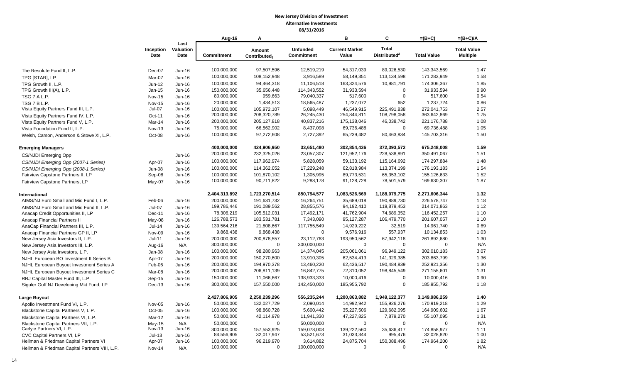|                                                |                   |                           | Aug-16                    | A                                  |                                      | B                              | C                                        | $=(B+C)$                  | $=(B+C)/A$                            |
|------------------------------------------------|-------------------|---------------------------|---------------------------|------------------------------------|--------------------------------------|--------------------------------|------------------------------------------|---------------------------|---------------------------------------|
|                                                | Inception<br>Date | Last<br>Valuation<br>Date | <b>Commitment</b>         | Amount<br>Contributed <sub>1</sub> | <b>Unfunded</b><br><b>Commitment</b> | <b>Current Market</b><br>Value | <b>Total</b><br>Distributed <sup>2</sup> | <b>Total Value</b>        | <b>Total Value</b><br><b>Multiple</b> |
| The Resolute Fund II, L.P.                     | Dec-07            | Jun-16                    | 100,000,000               | 97,507,596                         | 12,519,219                           | 54,317,039                     | 89,026,530                               | 143,343,569               | 1.47                                  |
| TPG [STAR], LP                                 | Mar-07            | Jun-16                    | 100,000,000               | 108,152,948                        | 3,916,589                            | 58,149,351                     | 113,134,598                              | 171,283,949               | 1.58                                  |
| TPG Growth II, L.P.                            | Jun-12            | Jun-16                    | 100,000,000               | 94.464.318                         | 11,106,518                           | 163.324.576                    | 10,981,791                               | 174,306,367               | 1.85                                  |
| TPG Growth III(A), L.P.                        | Jan-15            | Jun-16                    | 150,000,000               | 35,656,448                         | 114,343,552                          | 31,933,594                     | $\mathbf 0$                              | 31,933,594                | 0.90                                  |
| TSG 7 A L.P.                                   | <b>Nov-15</b>     | Jun-16                    | 80,000,000                | 959,663                            | 79,040,337                           | 517,600                        | $\mathbf 0$                              | 517,600                   | 0.54                                  |
| TSG 7 B L.P.                                   | <b>Nov-15</b>     | Jun-16                    | 20,000,000                | 1,434,513                          | 18,565,487                           | 1,237,072                      | 652                                      | 1,237,724                 | 0.86                                  |
| Vista Equity Partners Fund III, L.P.           | $Jul-07$          | $Jun-16$                  | 100,000,000               | 105,972,107                        | 5,098,449                            | 46,549,915                     | 225,491,838                              | 272,041,753               | 2.57                                  |
| Vista Equity Partners Fund IV, L.P.            | Oct-11            | Jun-16                    | 200,000,000               | 208,320,789                        | 26,245,430                           | 254,844,811                    | 108,798,058                              | 363,642,869               | 1.75                                  |
| Vista Equity Partners Fund V, L.P.             | Mar-14            | Jun-16                    | 200,000,000               | 205, 127, 818                      | 40,837,216                           | 175,138,046                    | 46,038,742                               | 221, 176, 788             | 1.08                                  |
| Vista Foundation Fund II, L.P.                 | <b>Nov-13</b>     | Jun-16                    | 75,000,000                | 66,562,902                         | 8,437,098                            | 69,736,488                     | $\mathbf 0$                              | 69,736,488                | 1.05                                  |
| Welsh, Carson, Anderson & Stowe XI, L.P.       | Oct-08            | Jun-16                    | 100,000,000               | 97,272,608                         | 2,727,392                            | 65,239,482                     | 80,463,834                               | 145.703.316               | 1.50                                  |
| <b>Emerging Managers</b>                       |                   |                           | 400,000,000               | 424,906,950                        | 33,651,480                           | 302,854,436                    | 372,393,572                              | 675,248,008               | 1.59                                  |
| <b>CS/NJDI Emerging Opp</b>                    |                   | Jun-16                    | 200,000,000               | 232,325,026                        | 23,057,307                           | 121,952,176                    | 228,538,891                              | 350,491,067               | 1.51                                  |
| CS/NJDI Emerging Opp (2007-1 Series)           | Apr-07            | Jun-16                    | 100,000,000               | 117,962,974                        | 5,828,059                            | 59, 133, 192                   | 115,164,692                              | 174,297,884               | 1.48                                  |
| CS/NJDI Emerging Opp (2008-1 Series)           | <b>Jun-08</b>     | Jun-16                    | 100,000,000               | 114,362,052                        | 17,229,248                           | 62,818,984                     | 113,374,199                              | 176,193,183               | 1.54                                  |
| Fairview Capstone Partners II, LP              | Sep-08            | Jun-16                    | 100,000,000               | 101,870,102                        | 1,305,995                            | 89,773,531                     | 65,353,102                               | 155,126,633               | 1.52                                  |
| Fairview Capstone Partners, LP                 | May-07            | Jun-16                    | 100,000,000               | 90,711,822                         | 9,288,178                            | 91,128,728                     | 78,501,579                               | 169,630,307               | 1.87                                  |
| International                                  |                   |                           | 2,404,313,892             | 1,723,270,514                      | 850,794,577                          | 1,083,526,569                  | 1,188,079,775                            | 2,271,606,344             | 1.32                                  |
| AIMS/NJ Euro Small and Mid Fund I, L.P.        | Feb-06            | Jun-16                    | 200,000,000               | 191,631,732                        | 16,264,751                           | 35,689,018                     | 190,889,730                              | 226,578,747               | 1.18                                  |
| AIMS/NJ Euro Small and Mid Fund II, L.P.       | $Jul-07$          | Jun-16                    | 199,786,446               | 191,089,562                        | 28,855,576                           | 94,192,410                     | 119,879,453                              | 214,071,863               | 1.12                                  |
| Anacap Credit Opportunities II, LP             | Dec-11            | Jun-16                    | 78,306,219                | 105,512,031                        | 17,492,171                           | 41,762,904                     | 74,689,352                               | 116,452,257               | 1.10                                  |
| <b>Anacap Financial Partners II</b>            | May-08            | Jun-16                    | 126,788,573               | 183,531,781                        | 7,343,090                            | 95,127,287                     | 106,479,770                              | 201,607,057               | 1.10                                  |
| AnaCap Financial Partners III, L.P.            | $Jul-14$          | Jun-16                    | 139,564,216               | 21,808,667                         | 117,755,549                          | 14,929,222                     | 32,519                                   | 14,961,740                | 0.69                                  |
| Anacap Financial Partners GP II, LP            | <b>Nov-09</b>     | Jun-16                    | 9,868,438                 | 9,868,438                          | $\Omega$                             | 9,576,916                      | 557,937                                  | 10,134,853                | 1.03                                  |
| New Jersey Asia Investors II, L.P.             | $Jul-11$          | Jun-16                    | 200,000,000               | 200,878,557                        | 23,112,763                           | 193,950,562                    | 67,942,118                               | 261,892,680               | 1.30                                  |
| New Jersey Asia Investors III, L.P.            | Aug-16            | N/A                       | 300,000,000               | $\mathbf 0$                        | 300,000,000                          | $\mathbf 0$                    | $\mathbf 0$                              | $\mathbf 0$               | N/A                                   |
| New Jersey Asia Investors, L.P.                | Jan-08            | Jun-16                    | 100,000,000               | 98,280,963                         | 14,374,045                           | 205,061,061                    | 96,949,122                               | 302,010,183               | 3.07                                  |
| NJHL European BO Investment II Series B        | Apr-07            | Jun-16                    | 200,000,000               | 150,270,600                        | 13,910,305                           | 62,534,413                     | 141,329,385                              | 203,863,799               | 1.36                                  |
| NJHL European Buyout Investment Series A       | Feb-06            | Jun-16                    | 200,000,000               | 194,970,378                        | 13,460,220                           | 62,436,517                     | 190,484,839                              | 252,921,356               | 1.30                                  |
| NJHL European Buyout Investment Series C       | Mar-08            | Jun-16                    | 200,000,000               | 206,811,139                        | 16,842,775                           | 72,310,052                     | 198,845,549                              | 271,155,601               | 1.31                                  |
| RRJ Capital Master Fund III, L.P.              | Sep-15            | Jun-16                    | 150,000,000               | 11,066,667                         | 138,933,333                          | 10,000,416                     | $\mathbf 0$                              | 10,000,416                | 0.90                                  |
| Siguler Guff NJ Developing Mkt Fund, LP        | Dec-13            | Jun-16                    | 300,000,000               | 157,550,000                        | 142,450,000                          | 185,955,792                    | $\mathbf 0$                              | 185,955,792               | 1.18                                  |
| Large Buyout                                   |                   |                           | 2,427,806,905             | 2,250,239,296                      | 556,235,244                          | 1,200,863,882                  | 1,949,122,377                            | 3,149,986,259             | 1.40                                  |
| Apollo Investment Fund VI, L.P.                | Nov-05            | Jun-16                    | 50,000,000                | 132,027,729                        | 2,090,014                            | 14,992,942                     | 155,926,276                              | 170,919,218               | 1.29                                  |
| Blackstone Capital Partners V, L.P.            | $Oct-05$          | Jun-16                    | 100,000,000               | 98,860,728                         | 5,600,442                            | 35,227,506                     | 129,682,095                              | 164,909,602               | 1.67                                  |
| Blackstone Capital Partners VI, L.P.           | Mar-12            | Jun-16                    | 50,000,000                | 42,114,978                         | 11,941,330                           | 47,227,825                     | 7,879,270                                | 55,107,095                | 1.31                                  |
| Blackstone Capital Partners VII, L.P.          | $May-15$          | N/A                       | 50,000,000                | $\Omega$                           | 50,000,000                           | $\mathbf 0$                    | $\mathbf 0$                              | $\mathbf 0$               | N/A                                   |
| Carlyle Partners VI, L.P.                      | <b>Nov-13</b>     | Jun-16                    | 300.000.000               | 157.553.925                        | 159.078.003                          | 139.222.560                    | 35.636.417                               | 174.858.977               | 1.11<br>1.00                          |
| CVC Capital Partners VI, LP                    | $Jul-13$          | Jun-16                    | 84,556,905<br>100,000,000 | 32,017,947<br>96,219,970           | 53,521,673<br>3,614,882              | 31,033,344<br>24,875,704       | 995,476<br>150,088,496                   | 32,028,820<br>174,964,200 | 1.82                                  |
| Hellman & Friedman Capital Partners VI         | Apr-07            | Jun-16                    | 100,000,000               | $\Omega$                           | 100,000,000                          | 0                              | $\mathbf 0$                              | $\mathbf 0$               | N/A                                   |
| Hellman & Friedman Capital Partners VIII, L.P. | <b>Nov-14</b>     | N/A                       |                           |                                    |                                      |                                |                                          |                           |                                       |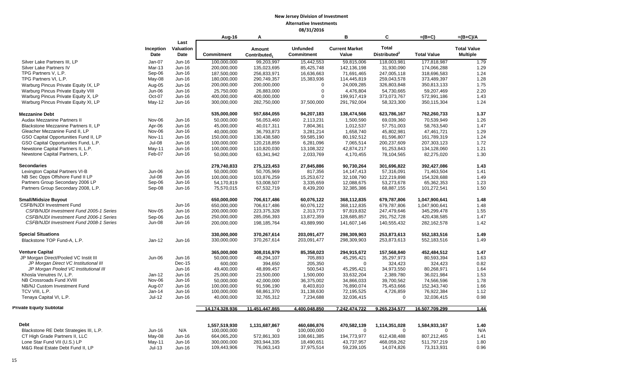|                                         |               |           | Aug-16         | A                        |                   | в                     | C                        | $=(B+C)$           | $=(B+C)/A$         |
|-----------------------------------------|---------------|-----------|----------------|--------------------------|-------------------|-----------------------|--------------------------|--------------------|--------------------|
|                                         |               | Last      |                |                          |                   |                       |                          |                    |                    |
|                                         | Inception     | Valuation |                | Amount                   | <b>Unfunded</b>   | <b>Current Market</b> | <b>Total</b>             |                    | <b>Total Value</b> |
|                                         | Date          | Date      | Commitment     | Contributed <sub>1</sub> | <b>Commitment</b> | Value                 | Distributed <sup>2</sup> | <b>Total Value</b> | <b>Multiple</b>    |
| Silver Lake Partners III, LP            | Jan-07        | Jun-16    | 100,000,000    | 99,203,997               | 15,442,553        | 59,815,006            | 118,003,981              | 177,818,987        | 1.79               |
| Silver Lake Partners IV                 | Mar-13        | Jun-16    | 200,000,000    | 135,023,695              | 85,425,748        | 142, 136, 198         | 31,930,090               | 174,066,288        | 1.29               |
| TPG Partners V, L.P.                    | Sep-06        | Jun-16    | 187,500,000    | 256,833,971              | 16,636,663        | 71,691,465            | 247,005,118              | 318,696,583        | 1.24               |
| TPG Partners VI, L.P.                   | May-08        | Jun-16    | 180,000,000    | 290,749,357              | 15,383,936        | 114,445,819           | 259,043,578              | 373,489,397        | 1.28               |
| Warburg Pincus Private Equity IX, LP    | Aug-05        | Jun-16    | 200,000,000    | 200,000,000              | $\Omega$          | 24,009,285            | 326,803,848              | 350,813,133        | 1.75               |
| Warburg Pincus Private Equity VIII      | Jun-06        | Jun-16    | 25,750,000     | 26,883,000               | $\Omega$          | 4,476,804             | 54,730,665               | 59,207,469         | 2.20               |
| Warburg Pincus Private Equity X, LP     | Oct-07        | Jun-16    | 400,000,000    | 400,000,000              | $\mathbf 0$       | 199,917,419           | 373,073,767              | 572,991,186        | 1.43               |
| Warburg Pincus Private Equity XI, LP    | May-12        | Jun-16    | 300,000,000    | 282,750,000              | 37,500,000        | 291,792,004           | 58,323,300               | 350,115,304        | 1.24               |
| <b>Mezzanine Debt</b>                   |               |           | 535,000,000    | 557,684,055              | 94,207,183        | 138,474,566           | 623,786,167              | 762,260,733        | 1.37               |
| <b>Audax Mezzanine Partners II</b>      | Nov-06        | Jun-16    | 50,000,000     | 56,053,460               | 2,113,231         | 1,500,590             | 69,039,360               | 70,539,949         | 1.26               |
| Blackstone Mezzanine Partners II. LP    | Apr-06        | Jun-16    | 45,000,000     | 40,017,311               | 7,804,361         | 1,012,537             | 57,751,003               | 58,763,540         | 1.47               |
| Gleacher Mezzanine Fund II, LP          | Nov-06        | Jun-16    | 40,000,000     | 36,793,873               | 3,281,214         | 1,658,740             | 45,802,981               | 47,461,721         | 1.29               |
| GSO Capital Opportunities Fund II, LP   | <b>Nov-11</b> | Jun-16    | 150,000,000    | 130,438,580              | 59,585,190        | 80,192,512            | 81,596,807               | 161,789,319        | 1.24               |
| GSO Capital Opportunities Fund, L.P.    | Jul-08        | Jun-16    | 100,000,000    | 120,218,859              | 6,281,096         | 7,065,514             | 200,237,609              | 207,303,123        | 1.72               |
| Newstone Capital Partners II, L.P.      | May-11        | Jun-16    | 100,000,000    | 110,820,030              | 13,108,322        | 42,874,217            | 91,253,843               | 134,128,060        | 1.21               |
| Newstone Capital Partners, L.P.         | Feb-07        | Jun-16    | 50,000,000     | 63,341,942               | 2,033,769         | 4,170,455             | 78,104,565               | 82,275,020         | 1.30               |
| <b>Secondaries</b>                      |               |           | 279,740,833    | 275, 123, 453            | 27,845,886        | 90,730,264            | 301,696,822              | 392,427,086        | 1.43               |
| Lexington Capital Partners VI-B         | Jun-06        | Jun-16    | 50,000,000     | 50,705,969               | 817,356           | 14, 147, 413          | 57,316,091               | 71,463,504         | 1.41               |
| NB Sec Opps Offshore Fund II LP         | Jul-08        | Jun-16    | 100.000.000    | 103.876.259              | 15.253.672        | 32.108.790            | 122.219.898              | 154.328.688        | 1.49               |
| Partners Group Secondary 2006 LP        | Sep-06        | Jun-16    | 54,170,819     | 53,008,507               | 3,335,659         | 12,088,675            | 53,273,678               | 65,362,353         | 1.23               |
| Partners Group Secondary 2008, L.P.     | Sep-08        | Jun-16    | 75,570,015     | 67,532,719               | 8,439,200         | 32,385,386            | 68,887,155               | 101,272,541        | 1.50               |
| <b>Small/Midsize Buyout</b>             |               |           | 650,000,000    | 706,617,486              | 60,076,122        | 368,112,835           | 679,787,806              | 1,047,900,641      | 1.48               |
| <b>CSFB/NJDI Investment Fund</b>        |               | Jun-16    | 650,000,000    | 706,617,486              | 60,076,122        | 368,112,835           | 679,787,806              | 1,047,900,641      | 1.48               |
| CSFB/NJDI Investment Fund 2005-1 Series | <b>Nov-05</b> | Jun-16    | 200,000,000    | 223,375,328              | 2,313,773         | 97,819,832            | 247,479,646              | 345,299,478        | 1.55               |
| CSFB/NJDI Investment Fund 2006-1 Series | Sep-06        | Jun-16    | 250,000,000    | 285,056,393              | 13,872,359        | 128,685,857           | 291,752,728              | 420,438,585        | 1.47               |
| CSFB/NJDI Investment Fund 2008-1 Series | <b>Jun-08</b> | Jun-16    | 200,000,000    | 198,185,764              | 43,889,990        | 141,607,146           | 140,555,432              | 282,162,578        | 1.42               |
| <b>Special Situations</b>               |               |           | 330,000,000    | 370,267,614              | 203,091,477       | 298,309,903           | 253.873.613              | 552,183,516        | 1.49               |
| Blackstone TOP Fund-A, L.P.             | $Jan-12$      | Jun-16    | 330,000,000    | 370,267,614              | 203,091,477       | 298,309,903           | 253,873,613              | 552,183,516        | 1.49               |
| <b>Venture Capital</b>                  |               |           | 365,000,000    | 308,016,979              | 85,358,023        | 294,915,672           | 157,568,840              | 452,484,512        | 1.47               |
| JP Morgan Direct/Pooled VC Instit III   | Jun-06        | Jun-16    | 50,000,000     | 49,294,107               | 705,893           | 45,295,421            | 35,297,973               | 80,593,394         | 1.63               |
| JP Morgan Direct VC Institutional III   |               | $Dec-15$  | 600,000        | 394,650                  | 205,350           | $\mathbf 0$           | 324,423                  | 324,423            | 0.82               |
| JP Morgan Pooled VC Institutional III   |               | Jun-16    | 49,400,000     | 48,899,457               | 500,543           | 45,295,421            | 34,973,550               | 80,268,971         | 1.64               |
| Khosla Venutres IV, L.P.                | $Jan-12$      | Jun-16    | 25,000,000     | 23,500,000               | 1,500,000         | 33,632,204            | 2,389,780                | 36,021,984         | 1.53               |
| NB Crossroads Fund XVIII                | Nov-06        | Jun-16    | 50,000,000     | 42,000,000               | 36,375,002        | 34,866,033            | 39,700,562               | 74,566,596         | 1.78               |
| NB/NJ Custom Investment Fund            | Aug-07        | Jun-16    | 100,000,000    | 91,596,190               | 8,403,810         | 76,890,074            | 75,453,666               | 152,343,740        | 1.66               |
| TCV VIII. L.P.                          | Jan-14        | Jun-16    | 100,000,000    | 68,861,370               | 31,138,630        | 72,195,525            | 4,726,859                | 76,922,384         | 1.12               |
| Tenaya Capital VI, L.P.                 | $Jul-12$      | Jun-16    | 40,000,000     | 32,765,312               | 7,234,688         | 32,036,415            | $\Omega$                 | 32,036,415         | 0.98               |
| <b>Private Equity Subtotal</b>          |               |           | 14.174.328.936 | 11.451.447.865           | 4.400.048.850     | 7.242.474.722         | 9.265.234.577            | 16.507.709.299     | 1.44               |
| <b>Debt</b>                             |               |           | 1,557,519,930  | 1,131,687,867            | 460,686,876       | 470,582,139           | 1,114,351,028            | 1,584,933,167      | 1.40               |
| Blackstone RE Debt Strategies III, L.P. | Jun-16        | N/A       | 100,000,000    | $\Omega$                 | 100,000,000       | $\mathbf 0$           | $\Omega$                 | $\mathbf 0$        | N/A                |
| CT High Grade Partners II, LLC          | May-08        | Jun-16    | 664,065,200    | 572,861,303              | 108,661,385       | 194,773,977           | 612,438,488              | 807,212,465        | 1.41               |
| Lone Star Fund VII (U.S.) LP            | May-11        | Jun-16    | 300,000,000    | 283,944,335              | 18,490,651        | 43,737,957            | 468,059,262              | 511,797,219        | 1.80               |
| M&G Real Estate Debt Fund II, LP        | $Jul-13$      | $Jun-16$  | 109,443,906    | 76,063,143               | 37,975,514        | 59,239,105            | 14,074,826               | 73,313,931         | 0.96               |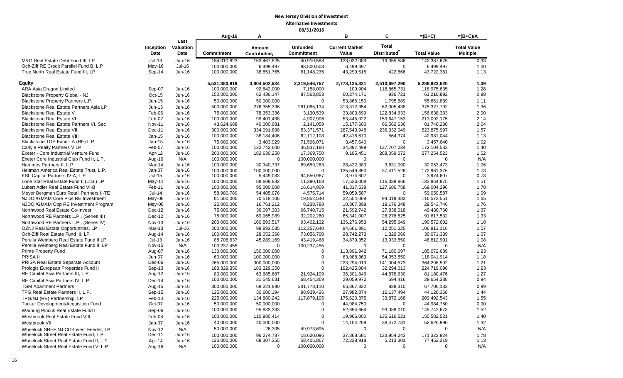|                                           |                   |                           | Aug-16        | A                                  |                                      | B                              | C                                        | $=(B+C)$                  | $=(B+C)/A$                            |
|-------------------------------------------|-------------------|---------------------------|---------------|------------------------------------|--------------------------------------|--------------------------------|------------------------------------------|---------------------------|---------------------------------------|
|                                           | Inception<br>Date | Last<br>Valuation<br>Date | Commitment    | Amount<br>Contributed <sub>1</sub> | <b>Unfunded</b><br><b>Commitment</b> | <b>Current Market</b><br>Value | <b>Total</b><br>Distributed <sup>2</sup> | <b>Total Value</b>        | <b>Total Value</b><br><b>Multiple</b> |
| M&G Real Estate Debt Fund III, LP         | $Jul-13$          | Jun-16                    | 184,010,823   | 153,467,825                        | 40,910,588                           | 123,032,089                    | 19,355,586                               | 142,387,675               | 0.93                                  |
| Och-Ziff RE Credit Parallel Fund B, L.P   | $May-16$          | $Jul-16$                  | 100,000,000   | 6,499,497                          | 93,500,503                           | 6,499,497                      | $\mathbf 0$                              | 6,499,497                 | 1.00                                  |
| True North Real Estate Fund III, LP       | Sep-14            | Jun-16                    | 100,000,000   | 38,851,765                         | 61,148,235                           | 43,299,515                     | 422,866                                  | 43,722,381                | 1.13                                  |
| <b>Equity</b>                             |                   |                           | 5,531,380,919 | 3,804,502,534                      | 2,219,546,757                        | 2,778,125,331                  | 2,510,697,290                            | 5,288,822,620             | 1.39                                  |
| ARA Asia Dragon Limited                   | Sep-07            | Jun-16                    | 100,000,000   | 92,842,000                         | 7,158,000                            | 109,904                        | 118,865,731                              | 118,975,635               | 1.28                                  |
| Blackstone Property Global - NJ           | Oct-15            | Jun-16                    | 150,000,000   | 62,436,147                         | 87,563,853                           | 60,274,171                     | 936,721                                  | 61,210,892                | 0.98                                  |
| Blackstone Property Partners L.P.         | Jun-15            | Jun-16                    | 50,000,000    | 50,000,000                         | $\Omega$                             | 53,866,150                     | 1,795,689                                | 55,661,839                | 1.11                                  |
| Blackstone Real Estate Partners Asia LP   | $Jun-13$          | Jun-16                    | 500,000,000   | 276,355,336                        | 261,085,134                          | 313,372,354                    | 62,005,438                               | 375, 377, 792             | 1.36                                  |
| <b>Blackstone Real Estate V</b>           | Feb-06            | Jun-16                    | 75,000,000    | 78,353,336                         | 3,130,539                            | 33,803,699                     | 122,834,633                              | 156,638,333               | 2.00                                  |
| <b>Blackstone Real Estate VI</b>          | Feb-07            | Jun-16                    | 100,000,000   | 99,401,438                         | 4,907,906                            | 53,445,022                     | 159,647,153                              | 213,092,175               | 2.14                                  |
| Blackstone Real Estate Partners VI, Sec   | <b>Nov-11</b>     | Jun-16                    | 43,624,688    | 40,000,081                         | 2,141,059                            | 15,177,600                     | 66,562,636                               | 81,740,236                | 2.04                                  |
| <b>Blackstone Real Estate VII</b>         | Dec-11            | Jun-16                    | 300,000,000   | 334,091,898                        | 53,371,571                           | 287,543,948                    | 236,332,049                              | 523,875,997               | 1.57                                  |
| <b>Blackstone Real Estate VIII</b>        | Jan-15            | Jun-16                    | 100,000,000   | 38,184,406                         | 62,112,108                           | 42,416,670                     | 564,374                                  | 42,981,044                | 1.13                                  |
| Blackstone TOP Fund - A (RE) L.P.         | $Jan-15$          | Jun-16                    | 75,000,000    | 3,403,929                          | 71,596,071                           | 3.457.640                      | $\Omega$                                 | 3,457,640                 | 1.02                                  |
| Carlyle Realty Partners V LP              | Feb-07            | Jun-16                    | 100,000,000   | 122,742,600                        | 36,837,180                           | 34,397,499                     | 137,707,034                              | 172,104,533               | 1.40                                  |
| Exeter - Core Industrial Venture Fund     | Apr-12            | Jun-16                    | 200,000,000   | 182,630,250                        | 17,369,750                           | 9,195,451                      | 268,059,072                              | 277,254,523               | 1.52                                  |
| Exeter Core Industrial Club Fund II, L.P. | Aug-16            | N/A                       | 100,000,000   | $\mathbf 0$                        | 100,000,000                          | $\mathbf 0$                    | $\mathbf 0$                              | $\mathbf 0$               | N/A                                   |
| Hammes Partners II, L.P.                  | Mar-14            | Jun-16                    | 100,000,000   | 30,340,737                         | 69,659,263                           | 28,422,383                     | 3,631,090                                | 32,053,473                | 1.06                                  |
| Heitman America Real Estate Trust, L.P.   | Jan-07            | Jun-16                    | 100.000.000   | 100.000.000                        | $\Omega$                             | 135,549,850                    | 37,411,526                               | 172.961.376               | 1.73                                  |
| KSL Capital Partners IV-A, L.P.           | $Jul-15$          | $Jun-16$                  | 100,000,000   | 5,449,033                          | 94,550,967                           | 3,974,607                      | $\overline{0}$                           | 3,974,607                 | 0.73                                  |
| Lone Star Real Estate Fund II (U.S.) LP   | May-11            | Jun-16                    | 100,000,000   | 88,609,832                         | 11,390,168                           | 17,526,008                     | 116,338,866                              | 133,864,875               | 1.51                                  |
| Lubert Adler Real Estate Fund VI-B        | Feb-11            | Jun-16                    | 100,000,000   | 95,000,000                         | 16,614,909                           | 41,317,538                     | 127,686,758                              | 169,004,296               | 1.78                                  |
| Meyer Bergman Euro Retail Partners II-TE  | $Jul-14$          | Jun-16                    | 58,980,789    | 54,405,076                         | 4,575,714                            | 59,059,587                     | $\Omega$                                 | 59,059,587                | 1.09                                  |
| NJDOI/GMAM Core Plus RE Investment        | May-08            | Jun-16                    | 81,500,000    | 70,518,106                         | 19,852,540                           | 22,554,068                     | 94,019,483                               | 116,573,551               | 1.65                                  |
| NJDOI/GMAM Opp RE Investment Program      | May-08            | Jun-16                    | 25,000,000    | 16,761,212                         | 8,238,788                            | 10,367,398                     | 19.176.348                               | 29.543.746                | 1.76                                  |
| Northwood Real Estate Co-Invest           | Dec-12            | Jun-16                    | 75,000,000    | 36,097,303                         | 66,740,715                           | 21,592,742                     | 27,838,018                               | 49,430,760                | 1.37                                  |
| Northwood RE Partners L.P., (Series III)  | Dec-12            | Jun-16                    | 75,000,000    | 69,065,989                         | 32,202,260                           | 65,341,007                     | 26,276,525                               | 91,617,532                | 1.33                                  |
| Northwood RE Partners L.P., (Series IV)   | <b>Nov-13</b>     | Jun-16                    | 200,000,000   | 160,893,517                        | 93,402,132                           | 136,276,953                    | 54,295,649                               | 190,572,602               | 1.18                                  |
| OZNJ Real Estate Opportunities, LP        | $Mar-13$          | $Jul-16$                  | 200,000,000   | 99,893,585                         | 112,357,640                          | 94,661,891                     | 12,251,225                               | 106,913,116               | 1.07                                  |
| Och-Ziff Real Estate Fund III, LP         | Aug-14            | Jun-16                    | 100,000,000   | 28,052,366                         | 73,056,700                           | 28,742,273                     | 1,329,066                                | 30,071,339                | 1.07                                  |
| Perella Weinberg Real Estate Fund II LP   | $Jul-13$          | Jun-16                    | 88,708,637    | 45,289,169                         | 43,419,468                           | 34,879,352                     | 13,933,550                               | 48,812,901                | 1.08                                  |
| Perella Weinberg Real Estate Fund III LP  | <b>Nov-15</b>     | N/A                       | 100,237,455   | 0                                  | 100,237,455                          | $\mathbf 0$                    | $\mathbf 0$                              | $\mathbf 0$               | N/A                                   |
| <b>Prime Property Fund</b>                | Aug-07            | $Jun-16$                  | 130,000,000   | 150,000,000                        | $\Omega$                             | 113,891,942                    | 71,180,697                               | 185,072,639               | 1.23                                  |
| PRISA II                                  | Jun-07            | Jun-16                    | 60,000,000    | 100,000,000                        | $\Omega$                             | 63,988,363                     | 54,053,550                               | 118,041,914               | 1.18                                  |
| PRISA Real Estate Separate Account        | Dec-06            | Jun-16                    | 265,000,000   | 300,000,000                        | $\Omega$                             | 223,294,019                    | 141,004,573                              | 364,298,592               | 1.21                                  |
| Prologis European Properties Fund II      | Sep-13            | $Jun-16$                  | 183,329,350   | 183,329,350                        | $\Omega$                             | 192,425,084                    | 32,294,013                               | 224,719,096               | 1.23                                  |
| RE Capital Asia Partners III, L.P.        | Aug-12            | Jun-16                    | 80,000,000    | 63,685,687                         | 21,924,199                           | 36,301,846                     | 44,878,630                               | 81,180,476                | 1.27                                  |
| RE Capital Asia Partners IV, L.P.         | Dec-14            | Jun-16                    | 100,000,000   | 31,545,631                         | 68,454,369                           | 29,059,972                     | 594,416                                  | 29,654,388                | 0.94                                  |
| <b>TGM Apartment Partners</b>             | Aug-15            | Jun-16                    | 300,000,000   | 68,221,890                         | 231,778,110                          | 66,867,822                     | 838,310                                  | 67,706,132                | 0.99                                  |
| TPG Real Estate Partners II, L.P.         | Sep-15            | Jun-16                    | 125,000,000   | 30,600,194                         | 98,939,426                           | 27,982,874                     | 16,137,494                               | 44,120,368                | 1.44                                  |
| TPG/NJ (RE) Partnership, LP               | Feb-13            | Jun-16                    | 225,000,000   | 134,880,242                        | 117,879,105                          | 175,620,375                    | 33,872,168                               | 209,492,543               | 1.55                                  |
| Tucker Development/Acquisition Fund       | Oct-07            | Jun-16                    | 50,000,000    | 50,000,000                         | $\mathbf 0$                          | 44,984,750                     | $\overline{0}$                           | 44,984,750                | 0.90                                  |
| Warburg Pincus Real Estate Fund I         | Sep-06            | Jun-16                    | 100,000,000   | 95,833,333                         | $\mathbf 0$                          | 52,654,664                     | 93,088,010                               | 145,742,673               | 1.52                                  |
| Westbrook Real Estate Fund VIII           | Feb-08            | Jun-16                    | 100,000,000   | 110,980,414                        | $\mathbf 0$                          | 19,966,000                     | 135,616,521                              | 155,582,521               | 1.40                                  |
| Westbrook VII                             | $Jan-07$          | Jun-16                    | 40,000,000    | 40,000,000                         | $\Omega$                             | 14, 154, 259                   | 38,472,731                               | 52,626,990                | 1.32                                  |
| Wheelock SREF NJ CO-Invest Feeder, LP     | <b>Nov-12</b>     | N/A                       | 50,000,000    | 26,305                             | 49,973,695                           | $\mathbf 0$                    | $\Omega$                                 | $\mathbf 0$               | N/A                                   |
| Wheelock Street Real Estate Fund, L.P.    | Dec-11            | Jun-16                    | 100,000,000   | 96,274,787                         |                                      |                                |                                          |                           | 1.78                                  |
| Wheelock Street Real Estate Fund II, L.P. | Apr-14            | Jun-16                    | 125,000,000   | 68,307,355                         | 18,620,096<br>58,405,867             | 37,368,681<br>72,238,918       | 133,954,243<br>5,213,301                 | 171,322,924<br>77,452,219 | 1.13                                  |
| Wheelock Street Real Estate Fund V, L.P   | Aug-16            | N/A                       | 100,000,000   | $\Omega$                           | 100,000,000                          | $\Omega$                       | $\Omega$                                 | $\Omega$                  | N/A                                   |
|                                           |                   |                           |               |                                    |                                      |                                |                                          |                           |                                       |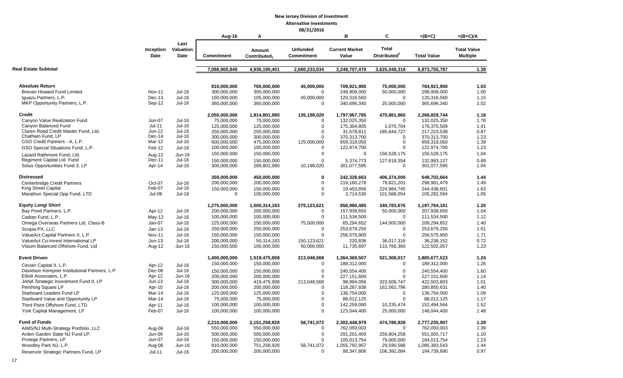## **08/31/2016**

|                                              |                          |                           | Aug-16            | A                                  | 007 JIJ LUIU                         | в                              | C                                        | =(B+C)             | $=(B+C)/A$                            |
|----------------------------------------------|--------------------------|---------------------------|-------------------|------------------------------------|--------------------------------------|--------------------------------|------------------------------------------|--------------------|---------------------------------------|
|                                              | Inception<br><b>Date</b> | Last<br>Valuation<br>Date | <b>Commitment</b> | Amount<br>Contributed <sub>1</sub> | <b>Unfunded</b><br><b>Commitment</b> | <b>Current Market</b><br>Value | <b>Total</b><br>Distributed <sup>2</sup> | <b>Total Value</b> | <b>Total Value</b><br><b>Multiple</b> |
| Real Estate Subtotal                         |                          |                           | 7,088,900,849     | 4,936,190,401                      | 2,680,233,634                        | 3,248,707,470                  | 3,625,048,318                            | 6,873,755,787      | 1.39                                  |
|                                              |                          |                           |                   |                                    |                                      |                                |                                          |                    |                                       |
| <b>Absolute Return</b>                       |                          |                           | 810.000.000       | 765.000.000                        | 45,000,000                           | 709.921.900                    | 75.000.000                               | 784.921.900        | 1.03                                  |
| Brevan Howard Fund Limited                   | <b>Nov-11</b>            | Jul-16                    | 300,000,000       | 300,000,000                        | $\Omega$                             | 248,909,000                    | 50,000,000                               | 298,909,000        | 1.00                                  |
| Iquazu Partners, L.P.                        | $Dec-13$                 | <b>Jul-16</b>             | 150,000,000       | 105,000,000                        | 45,000,000                           | 120,316,560                    | $\Omega$                                 | 120,316,560        | 1.15                                  |
| MKP Opportunity Partners, L.P.               | Sep-12                   | <b>Jul-16</b>             | 360,000,000       | 360,000,000                        | $\Omega$                             | 340,696,340                    | 25,000,000                               | 365,696,340        | 1.02                                  |
| <b>Credit</b>                                |                          |                           | 2,050,000,000     | 1,914,801,980                      | 135,198,020                          | 1,797,967,785                  | 470,861,960                              | 2,268,829,744      | 1.18                                  |
| Canyon Value Realization Fund                | <b>Jun-07</b>            | Jul-16                    | 75,000,000        | 75,000,000                         | $\Omega$                             | 132,025,350                    | $\mathbf 0$                              | 132,025,350        | 1.76                                  |
| Canyon Balanced Fund                         | $Jul-11$                 | <b>Jul-16</b>             | 125,000,000       | 125,000,000                        | $\Omega$                             | 175,304,805                    | 1,070,704                                | 176,375,509        | 1.41                                  |
| Claren Road Credit Master Fund, Ltd.         | Jun-12                   | Jul-16                    | 250.000.000       | 250.000.000                        | $\Omega$                             | 31.578.811                     | 185,644,727                              | 217.223.538        | 0.87                                  |
| Chatham Fund. LP                             | Dec-14                   | Jul-16                    | 300,000,000       | 300,000,000                        | $\Omega$                             | 370,313,700                    | $\Omega$                                 | 370,313,700        | 1.23                                  |
| GSO Credit Partners - A, L.P.                | Mar-12                   | Jul-16                    | 600,000,000       | 475,000,000                        | 125,000,000                          | 659,318,050                    | $\mathbf 0$                              | 659,318,050        | 1.39                                  |
| GSO Special Situations Fund, L.P.            | Feb-12                   | $Jul-16$                  | 100,000,000       | 100,000,000                        | $\Omega$                             | 122,974,700                    | $\mathbf 0$                              | 122,974,700        | 1.23                                  |
| Lazard Rathmore Fund, Ltd.                   | Aug-12                   | Jun-16                    | 150,000,000       | 150,000,000                        | $\Omega$                             | $\Omega$                       | 156,528,175                              | 156,528,175        | 1.04                                  |
| Regiment Capital Ltd. Fund                   | Dec-11                   | Jul-16                    | 150,000,000       | 150,000,000                        | $\Omega$                             | 5,374,773                      | 127,618,354                              | 132,993,127        | 0.89                                  |
| Solus Opportunities Fund 3, LP               | Apr-14                   | Jul-16                    | 300,000,000       | 289,801,980                        | 10,198,020                           | 301,077,595                    | $\mathbf 0$                              | 301,077,595        | 1.04                                  |
| <b>Distressed</b>                            |                          |                           | 350,000,000       | 450,000,000                        | $\bf{0}$                             | 242,328,663                    | 406,374,000                              | 648,702,664        | 1.44                                  |
| Centerbridge Credit Partners                 | Oct-07                   | Jul-16                    | 200,000,000       | 200,000,000                        | $\mathbf 0$                          | 219,160,278                    | 79,821,201                               | 298,981,479        | 1.49                                  |
| <b>King Street Capital</b>                   | Feb-07                   | Jul-16                    | 150,000,000       | 150,000,000                        | $\Omega$                             | 19,453,856                     | 224,984,745                              | 244,438,601        | 1.63                                  |
| Marathon Special Opp Fund, LTD               | Jul-08                   | <b>Jul-16</b>             | $\mathbf 0$       | 100,000,000                        | $\Omega$                             | 3,714,530                      | 101,568,054                              | 105,282,584        | 1.05                                  |
| <b>Equity Long/ Short</b>                    |                          |                           | 1,275,000,000     | 1,000,314,183                      | 275,123,621                          | 856,980,485                    | 340,783,676                              | 1,197,764,161      | 1.20                                  |
| Bay Pond Partners, L.P.                      | Apr-12                   | Jul-16                    | 200,000,000       | 200,000,000                        | $\Omega$                             | 157,939,650                    | 50,000,000                               | 207,939,650        | 1.04                                  |
| Cadian Fund, L.P.                            | May-12                   | Jul-16                    | 100,000,000       | 100,000,000                        | $\mathbf 0$                          | 111,534,500                    | $\mathbf 0$                              | 111,534,500        | 1.12                                  |
| Omega Overseas Partners Ltd. Class-B         | Jan-07                   | <b>Jul-16</b>             | 225,000,000       | 150,000,000                        | 75,000,000                           | 65,294,652                     | 144,000,000                              | 209,294,652        | 1.40                                  |
| Scopia PX, LLC                               | $Jan-13$                 | Jul-16                    | 250,000,000       | 250,000,000                        | $\Omega$                             | 253,679,250                    | $\mathbf 0$                              | 253,679,250        | 1.01                                  |
| ValueAct Capital Partners II, L.P.           | <b>Nov-11</b>            | Jul-16                    | 150,000,000       | 150,000,000                        | $\Omega$                             | 256,575,900                    | $\Omega$                                 | 256,575,900        | 1.71                                  |
| ValueAct Co-Invest International LP          | $Jun-13$                 | Jul-16                    | 200,000,000       | 50,314,183                         | 150,123,621                          | 220,836                        | 36,017,316                               | 36,238,152         | 0.72                                  |
| Visium Balanced Offshore Fund, Ltd           | Aug-12                   | Jun-16                    | 150,000,000       | 100,000,000                        | 50,000,000                           | 11,735,697                     | 110,766,360                              | 122,502,057        | 1.23                                  |
| <b>Event Driven</b>                          |                          |                           | 1,400,000,000     | 1,519,475,908                      | 213,048,568                          | 1,364,369,507                  | 521,308,017                              | 1,885,677,523      | 1.24                                  |
| Cevian Capital II, L.P.                      | Apr-12                   | <b>Jul-16</b>             | 150,000,000       | 150,000,000                        | $\Omega$                             | 189,312,000                    | $\mathbf 0$                              | 189,312,000        | 1.26                                  |
| Davidson Kempner Institutional Partners, L.P | Dec-06                   | $Jul-16$                  | 150,000,000       | 150,000,000                        | $\Omega$                             | 240,554,400                    | $\mathbf 0$                              | 240,554,400        | 1.60                                  |
| Elliott Associates, L.P.                     | Apr-12                   | Jun-16                    | 200,000,000       | 200,000,000                        | $\Omega$                             | 227,151,600                    | $\Omega$                                 | 227,151,600        | 1.14                                  |
| JANA Strategic Investment Fund II, LP        | $Jun-13$                 | <b>Jul-16</b>             | 300,000,000       | 419,475,908                        | 213,048,568                          | 98,994,056                     | 323,509,747                              | 422,503,803        | 1.01                                  |
| Pershing Square LP                           | Apr-10                   | $Jul-16$                  | 200,000,000       | 200,000,000                        | $\Omega$                             | 118,287,836                    | 162,562,796                              | 280,850,631        | 1.40                                  |
| Starboard Leaders Fund LP                    | Mar-14                   | Jul-16                    | 125,000,000       | 125,000,000                        | $\mathbf 0$                          | 136,754,000                    | $\mathbf 0$                              | 136,754,000        | 1.09                                  |
| Starboard Value and Opportunity LP           | Mar-14                   | $Jul-16$                  | 75,000,000        | 75,000,000                         | $\Omega$                             | 88,012,125                     | $\Omega$                                 | 88,012,125         | 1.17                                  |
| Third Point Offshore Fund, LTD.              | Apr-11                   | $Jul-16$                  | 100,000,000       | 100,000,000                        | $\Omega$                             | 142,259,090                    | 10,235,474                               | 152,494,564        | 1.52                                  |
| York Capital Management, LP                  | Feb-07                   | Jul-16                    | 100,000,000       | 100,000,000                        | $\mathbf 0$                          | 123,044,400                    | 25,000,000                               | 148,044,400        | 1.48                                  |
| <b>Fund of Funds</b>                         |                          |                           | 2,210,000,000     | 2,151,258,928                      | 58,741,072                           | 2,302,448,979                  | 474,786,928                              | 2,777,235,907      | 1.29                                  |
| AIMS/NJ Multi-Strategy Portfolio, LLC        | Aug-06                   | <b>Jul-16</b>             | 550,000,000       | 550,000,000                        | 0                                    | 762,093,003                    | $\mathbf 0$                              | 762,093,003        | 1.39                                  |
| Arden Garden State NJ Fund LP.               | Jun-06                   | Jul-16                    | 500,000,000       | 500,000,000                        | $\Omega$                             | 291,201,459                    | 259,804,258                              | 551,005,717        | 1.10                                  |
| Protege Partners, LP                         | Jun-07                   | <b>Jul-16</b>             | 150,000,000       | 150,000,000                        | $\Omega$                             | 105,013,754                    | 79,000,000                               | 184,013,754        | 1.23                                  |
| Woodley Park NJ, L.P.                        | Aug-06                   | Jun-16                    | 810,000,000       | 751,258,928                        | 58,741,072                           | 1,055,792,957                  | 29,590,586                               | 1,085,383,543      | 1.44                                  |
| Reservoir Strategic Partners Fund, LP        | Jul-11                   | Jul-16                    | 200,000,000       | 200,000,000                        | $\Omega$                             | 88,347,806                     | 106,392,084                              | 194,739,890        | 0.97                                  |
|                                              |                          |                           |                   |                                    |                                      |                                |                                          |                    |                                       |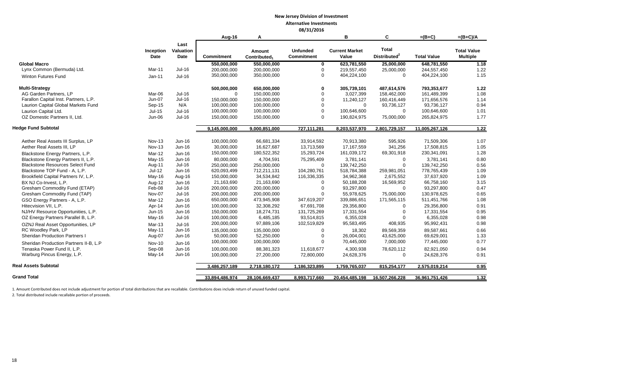|                                         |                   |                                  | Aug-16            | Α                                  |                                      | B                              | C                                        | $=(B+C)$           | $=(B+C)/A$                            |
|-----------------------------------------|-------------------|----------------------------------|-------------------|------------------------------------|--------------------------------------|--------------------------------|------------------------------------------|--------------------|---------------------------------------|
|                                         | Inception<br>Date | Last<br><b>Valuation</b><br>Date | <b>Commitment</b> | Amount<br>Contributed <sub>1</sub> | <b>Unfunded</b><br><b>Commitment</b> | <b>Current Market</b><br>Value | <b>Total</b><br>Distributed <sup>2</sup> | <b>Total Value</b> | <b>Total Value</b><br><b>Multiple</b> |
| <b>Global Macro</b>                     |                   |                                  | 550,000,000       | 550,000,000                        | $\mathbf 0$                          | 623,781,550                    | 25,000,000                               | 648,781,550        | 1.18                                  |
| Lynx Common (Bermuda) Ltd.              | Mar-11            | $Jul-16$                         | 200,000,000       | 200,000,000                        | 0                                    | 219,557,450                    | 25,000,000                               | 244,557,450        | 1.22                                  |
|                                         |                   |                                  | 350,000,000       | 350,000,000                        | $\Omega$                             | 404,224,100                    | $\mathbf 0$                              | 404,224,100        | 1.15                                  |
| <b>Winton Futures Fund</b>              | $Jan-11$          | Jul-16                           |                   |                                    |                                      |                                |                                          |                    |                                       |
| <b>Multi-Strategy</b>                   |                   |                                  | 500,000,000       | 650,000,000                        | 0                                    | 305,739,101                    | 487,614,576                              | 793,353,677        | 1.22                                  |
| AG Garden Partners, LP                  | Mar-06            | $Jul-16$                         | $\Omega$          | 150,000,000                        | $\Omega$                             | 3,027,399                      | 158,462,000                              | 161,489,399        | 1.08                                  |
| Farallon Capital Inst. Partners, L.P.   | Jun-07            | Jul-16                           | 150,000,000       | 150,000,000                        | $\mathbf 0$                          | 11,240,127                     | 160,416,449                              | 171,656,576        | 1.14                                  |
| Laurion Capital Global Markets Fund     | Sep-15            | N/A                              | 100,000,000       | 100,000,000                        | $\Omega$                             | $\Omega$                       | 93,736,127                               | 93,736,127         | 0.94                                  |
| Laurion Capital Ltd.                    | $Jul-15$          | Jul-16                           | 100,000,000       | 100,000,000                        | $\Omega$                             | 100,646,600                    | $\Omega$                                 | 100,646,600        | 1.01                                  |
| OZ Domestic Partners II, Ltd.           | Jun-06            | Jul-16                           | 150,000,000       | 150,000,000                        | $\Omega$                             | 190,824,975                    | 75,000,000                               | 265,824,975        | 1.77                                  |
| <b>Hedge Fund Subtotal</b>              |                   |                                  | 9,145,000,000     | 9,000,851,000                      | 727,111,281                          | 8,203,537,970                  | 2,801,729,157                            | 11,005,267,126     | 1.22                                  |
|                                         |                   |                                  |                   |                                    |                                      |                                |                                          |                    |                                       |
| Aether Real Assets III Surplus, LP      | <b>Nov-13</b>     | Jun-16                           | 100,000,000       | 66,681,334                         | 33,914,592                           | 70,913,380                     | 595,926                                  | 71,509,306         | 1.07                                  |
| Aether Real Assets III, LP              | Nov-13            | Jun-16                           | 30,000,000        | 16,627,687                         | 13,713,569                           | 17,167,559                     | 341,256                                  | 17,508,815         | 1.05                                  |
| Blackstone Energy Partners, L.P.        | Mar-12            | Jun-16                           | 150,000,000       | 180,522,352                        | 15,293,724                           | 161,039,172                    | 69,301,918                               | 230,341,091        | 1.28                                  |
| Blackstone Energy Partners II, L.P.     | $May-15$          | Jun-16                           | 80.000.000        | 4,704,591                          | 75,295,409                           | 3,781,141                      | $\mathbf 0$                              | 3,781,141          | 0.80                                  |
| <b>Blackstone Resources Select Fund</b> | Aug-11            | Jul-16                           | 250,000,000       | 250,000,000                        | $\Omega$                             | 139,742,250                    | $\Omega$                                 | 139,742,250        | 0.56                                  |
| Blackstone TOP Fund - A, L.P.           | $Jul-12$          | Jun-16                           | 620,093,499       | 712,211,131                        | 104,280,761                          | 518,784,388                    | 259,981,051                              | 778,765,439        | 1.09                                  |
| Brookfield Capital Partners IV, L.P.    | May-16            | Aug-16                           | 150,000,000       | 34,534,842                         | 116,336,335                          | 34,962,368                     | 2,675,552                                | 37.637.920         | 1.09                                  |
| BX NJ Co-Invest, L.P.                   | Aug-12            | Jun-16                           | 21,163,690        | 21,163,690                         | $\Omega$                             | 50,188,208                     | 16,569,952                               | 66,758,160         | 3.15                                  |
| Gresham Commodity Fund (ETAP)           | Feb-08            | Jul-16                           | 200,000,000       | 200,000,000                        | $\Omega$                             | 93,297,800                     | $\Omega$                                 | 93,297,800         | 0.47                                  |
| Gresham Commodity Fund (TAP)            | Nov-07            | Jul-16                           | 200,000,000       | 200,000,000                        | $\Omega$                             | 55,978,625                     | 75,000,000                               | 130,978,625        | 0.65                                  |
| GSO Energy Partners - A, L.P.           | $Mar-12$          | Jun-16                           | 650,000,000       | 473,945,908                        | 347,619,207                          | 339,886,651                    | 171,565,115                              | 511,451,766        | 1.08                                  |
| Hitecvision VII, L.P.                   | Apr-14            | Jun-16                           | 100,000,000       | 32,308,292                         | 67,691,708                           | 29,356,800                     | $\Omega$                                 | 29,356,800         | 0.91                                  |
| NJ/HV Resource Opportunities, L.P.      | Jun-15            | $Jun-16$                         | 150,000,000       | 18,274,731                         | 131,725,269                          | 17,331,554                     | $\Omega$                                 | 17,331,554         | 0.95                                  |
| OZ Energy Partners Parallel B, L.P.     | May-16            | Jul-16                           | 100,000,000       | 6,485,185                          | 93,514,815                           | 6,355,028                      | $\Omega$                                 | 6,355,028          | 0.98                                  |
| OZNJ Real Asset Opportunities, LP       | Mar-13            | $Jul-16$                         | 200,000,000       | 97,889,106                         | 102,519,829                          | 95,583,495                     | 408,935                                  | 95,992,431         | 0.98                                  |
| RC Woodley Park, LP                     | $May-11$          | Jun-16                           | 135.000.000       | 135,000,000                        | $\Omega$                             | 18,302                         | 89.569.359                               | 89.587.661         | 0.66                                  |
| <b>Sheridan Production Partners I</b>   | Aug-07            | Jun-16                           | 50,000,000        | 52,250,000                         | $\Omega$                             | 26,004,001                     | 43,625,000                               | 69,629,001         | 1.33                                  |
|                                         |                   |                                  | 100,000,000       | 100,000,000                        | $\Omega$                             | 70,445,000                     | 7,000,000                                | 77,445,000         | 0.77                                  |
| Sheridan Production Partners II-B, L.P  | <b>Nov-10</b>     | Jun-16                           |                   |                                    |                                      |                                |                                          |                    |                                       |
| Tenaska Power Fund II, L.P.             | Sep-08            | Jun-16                           | 100,000,000       | 88,381,323                         | 11,618,677                           | 4,300,938                      | 78,620,112                               | 82,921,050         | 0.94                                  |
| Warburg Pincus Energy, L.P.             | May-14            | Jun-16                           | 100,000,000       | 27,200,000                         | 72,800,000                           | 24,628,376                     | $\Omega$                                 | 24,628,376         | 0.91                                  |
| Real Assets Subtotal                    |                   |                                  | 3,486,257,189     | 2,718,180,172                      | 1,186,323,895                        | 1,759,765,037                  | 815,254,177                              | 2,575,019,214      | 0.95                                  |
| <b>Grand Total</b>                      |                   |                                  | 33,894,486,974    | 28,106,669,437                     | 8,993,717,660                        | 20,454,485,198                 | 16,507,266,228                           | 36,961,751,426     | 1.32                                  |

1. Amount Contributed does not include adjustment for portion of total distributions that are recallable. Contributions does include return of unused funded capital.

2. Total distributed include recallable portion of proceeds.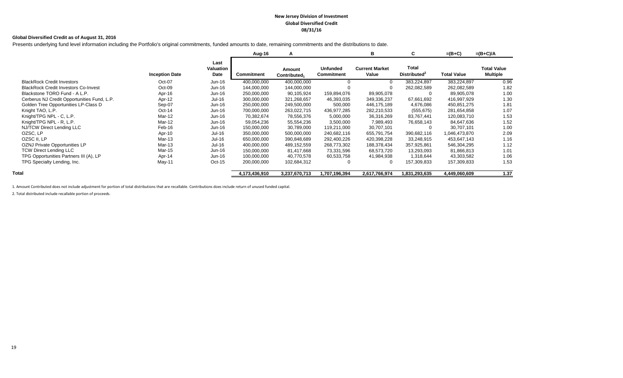#### **New Jersey Division of Investment Global Diversified Credit 08/31/16**

#### **Global Diversified Credit as of August 31, 2016**

Presents underlying fund level information including the Portfolio's original commitments, funded amounts to date, remaining commitments and the distributions to date.

|                                             |                       |                           | Aug-16            | A                                  |                                      | в                              | C                                        | $=(B+C)$           | $=(B+C)/A$                            |
|---------------------------------------------|-----------------------|---------------------------|-------------------|------------------------------------|--------------------------------------|--------------------------------|------------------------------------------|--------------------|---------------------------------------|
|                                             | <b>Inception Date</b> | Last<br>Valuation<br>Date | <b>Commitment</b> | Amount<br>Contributed <sub>1</sub> | <b>Unfunded</b><br><b>Commitment</b> | <b>Current Market</b><br>Value | <b>Total</b><br>Distributed <sup>2</sup> | <b>Total Value</b> | <b>Total Value</b><br><b>Multiple</b> |
| <b>BlackRock Credit Investors</b>           | Oct-07                | Jun-16                    | 400,000,000       | 400,000,000                        |                                      | $\Omega$                       | 383,224,897                              | 383,224,897        | 0.96                                  |
| <b>BlackRock Credit Investors Co-Invest</b> | Oct-09                | Jun-16                    | 144,000,000       | 144,000,000                        |                                      |                                | 262,082,589                              | 262,082,589        | 1.82                                  |
| Blackstone TORO Fund - A L.P.               | Apr-16                | Jun-16                    | 250,000,000       | 90,105,924                         | 159,894,076                          | 89,905,078                     | $\mathbf 0$                              | 89,905,078         | 1.00                                  |
| Cerberus NJ Credit Opportunities Fund, L.P. | Apr-12                | Jul-16                    | 300,000,000       | 321,268,657                        | 46,393,035                           | 349,336,237                    | 67,661,692                               | 416,997,929        | 1.30                                  |
| Golden Tree Opportunities LP-Class D        | Sep-07                | $Jun-16$                  | 250,000,000       | 249,500,000                        | 500,000                              | 446,175,189                    | 4,676,086                                | 450,851,275        | 1.81                                  |
| Knight TAO, L.P.                            | $Oct-14$              | $Jun-16$                  | 700,000,000       | 263,022,715                        | 436,977,285                          | 282,210,533                    | (555, 675)                               | 281,654,858        | 1.07                                  |
| Knight/TPG NPL - C, L.P.                    | Mar-12                | Jun-16                    | 70,382,674        | 78,556,376                         | 5,000,000                            | 36,316,269                     | 83,767,441                               | 120,083,710        | 1.53                                  |
| Knight/TPG NPL - R, L.P.                    | Mar-12                | $Jun-16$                  | 59,054,236        | 55,554,236                         | 3,500,000                            | 7,989,493                      | 76,658,143                               | 84,647,636         | 1.52                                  |
| NJ/TCW Direct Lending LLC                   | Feb-16                | Jun-16                    | 150,000,000       | 30,789,000                         | 119,211,000                          | 30,707,101                     | $\mathbf{0}$                             | 30,707,101         | 1.00                                  |
| OZSC, LP                                    | Apr-10                | Jul-16                    | 350,000,000       | 500,000,000                        | 240,682,116                          | 655,791,754                    | 390,682,116                              | 1,046,473,870      | 2.09                                  |
| OZSC II, LP                                 | Mar-13                | Jul-16                    | 650,000,000       | 390,848,689                        | 292,400,226                          | 420,398,228                    | 33,248,915                               | 453,647,143        | 1.16                                  |
| OZNJ Private Opportunities LP               | Mar-13                | Jul-16                    | 400,000,000       | 489,152,559                        | 268,773,302                          | 188,378,434                    | 357,925,861                              | 546,304,295        | 1.12                                  |
| <b>TCW Direct Lending LLC</b>               | Mar-15                | Jun-16                    | 150,000,000       | 81,417,668                         | 73,331,596                           | 68,573,720                     | 13,293,093                               | 81,866,813         | 1.01                                  |
| TPG Opportunities Partners III (A), LP      | Apr-14                | $Jun-16$                  | 100,000,000       | 40,770,578                         | 60,533,758                           | 41,984,938                     | 1,318,644                                | 43,303,582         | 1.06                                  |
| TPG Specialty Lending, Inc.                 | May-11                | $Oct-15$                  | 200,000,000       | 102,684,312                        | 0                                    | - 0                            | 157,309,833                              | 157,309,833        | 1.53                                  |
| Total                                       |                       |                           | 4,173,436,910     | 3,237,670,713                      | 1,707,196,394                        | 2,617,766,974                  | 1,831,293,635                            | 4,449,060,609      | 1.37                                  |

1. Amount Contributed does not include adjustment for portion of total distributions that are recallable. Contributions does include return of unused funded capital.

2. Total distributed include recallable portion of proceeds.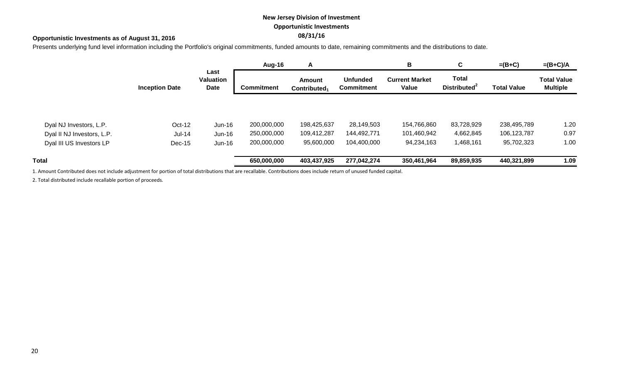## **New Jersey Division of Investment Opportunistic Investments**

## **08/31/16 Opportunistic Investments as of August 31, 2016**

Presents underlying fund level information including the Portfolio's original commitments, funded amounts to date, remaining commitments and the distributions to date.

|                            |                       |                                  | Aug-16            | A                                         |                                      | В                              | C                                        | $=(B+C)$           | $=(B+C)/A$                            |  |
|----------------------------|-----------------------|----------------------------------|-------------------|-------------------------------------------|--------------------------------------|--------------------------------|------------------------------------------|--------------------|---------------------------------------|--|
|                            | <b>Inception Date</b> | Last<br><b>Valuation</b><br>Date | <b>Commitment</b> | <b>Amount</b><br>Contributed <sub>1</sub> | <b>Unfunded</b><br><b>Commitment</b> | <b>Current Market</b><br>Value | <b>Total</b><br>Distributed <sup>2</sup> | <b>Total Value</b> | <b>Total Value</b><br><b>Multiple</b> |  |
|                            |                       |                                  |                   |                                           |                                      |                                |                                          |                    |                                       |  |
| Dyal NJ Investors, L.P.    | Oct-12                | Jun-16                           | 200,000,000       | 198,425,637                               | 28,149,503                           | 154,766,860                    | 83,728,929                               | 238,495,789        | 1.20                                  |  |
| Dyal II NJ Investors, L.P. | $Jul-14$              | Jun-16                           | 250,000,000       | 109,412,287                               | 144,492,771                          | 101,460,942                    | 4,662,845                                | 106,123,787        | 0.97                                  |  |
| Dyal III US Investors LP   | Dec-15                | Jun-16                           | 200,000,000       | 95,600,000                                | 104,400,000                          | 94,234,163                     | 1,468,161                                | 95,702,323         | 1.00                                  |  |
| Total                      |                       |                                  | 650,000,000       | 403,437,925                               | 277,042,274                          | 350,461,964                    | 89,859,935                               | 440,321,899        | 1.09                                  |  |

1. Amount Contributed does not include adjustment for portion of total distributions that are recallable. Contributions does include return of unused funded capital.

2. Total distributed include recallable portion of proceeds.